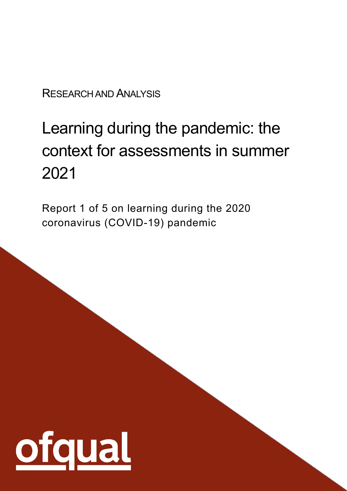RESEARCH AND ANALYSIS

# Learning during the pandemic: the context for assessments in summer 2021

Report 1 of 5 on learning during the 2020 coronavirus (COVID-19) pandemic

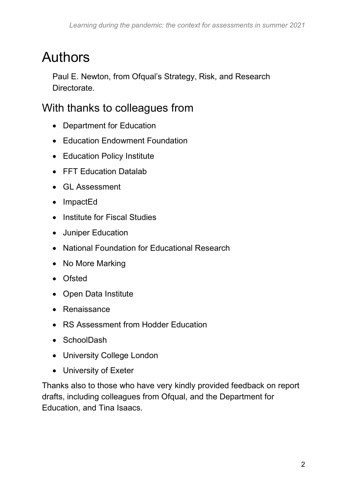# <span id="page-1-0"></span>Authors

Paul E. Newton, from Ofqual's Strategy, Risk, and Research Directorate.

### <span id="page-1-1"></span>With thanks to colleagues from

- Department for Education
- Education Endowment Foundation
- Education Policy Institute
- FFT Education Datalab
- GL Assessment
- ImpactEd
- Institute for Fiscal Studies
- Juniper Education
- National Foundation for Educational Research
- No More Marking
- Ofsted
- Open Data Institute
- Renaissance
- RS Assessment from Hodder Education
- SchoolDash
- University College London
- University of Exeter

Thanks also to those who have very kindly provided feedback on report drafts, including colleagues from Ofqual, and the Department for Education, and Tina Isaacs.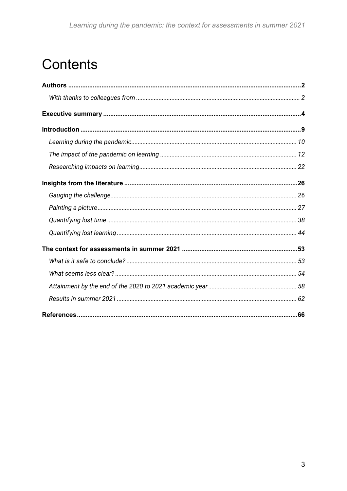# **Contents**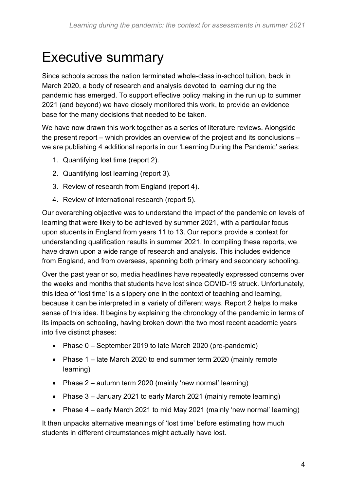# <span id="page-3-0"></span>Executive summary

Since schools across the nation terminated whole-class in-school tuition, back in March 2020, a body of research and analysis devoted to learning during the pandemic has emerged. To support effective policy making in the run up to summer 2021 (and beyond) we have closely monitored this work, to provide an evidence base for the many decisions that needed to be taken.

We have now drawn this work together as a series of literature reviews. Alongside the present report – which provides an overview of the project and its conclusions – we are publishing 4 additional reports in our 'Learning During the Pandemic' series:

- 1. Quantifying lost time (report 2).
- 2. Quantifying lost learning (report 3).
- 3. Review of research from England (report 4).
- 4. Review of international research (report 5).

Our overarching objective was to understand the impact of the pandemic on levels of learning that were likely to be achieved by summer 2021, with a particular focus upon students in England from years 11 to 13. Our reports provide a context for understanding qualification results in summer 2021. In compiling these reports, we have drawn upon a wide range of research and analysis. This includes evidence from England, and from overseas, spanning both primary and secondary schooling.

Over the past year or so, media headlines have repeatedly expressed concerns over the weeks and months that students have lost since COVID-19 struck. Unfortunately, this idea of 'lost time' is a slippery one in the context of teaching and learning, because it can be interpreted in a variety of different ways. Report 2 helps to make sense of this idea. It begins by explaining the chronology of the pandemic in terms of its impacts on schooling, having broken down the two most recent academic years into five distinct phases:

- Phase 0 September 2019 to late March 2020 (pre-pandemic)
- Phase 1 late March 2020 to end summer term 2020 (mainly remote learning)
- Phase 2 autumn term 2020 (mainly 'new normal' learning)
- Phase 3 January 2021 to early March 2021 (mainly remote learning)
- Phase 4 early March 2021 to mid May 2021 (mainly 'new normal' learning)

It then unpacks alternative meanings of 'lost time' before estimating how much students in different circumstances might actually have lost.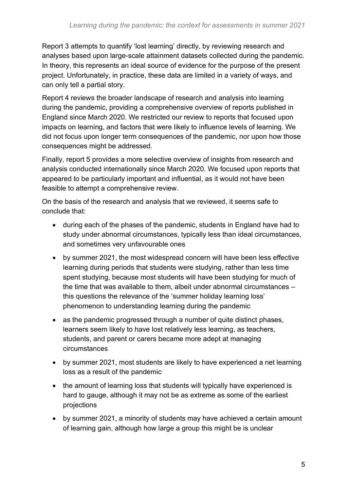Report 3 attempts to quantify 'lost learning' directly, by reviewing research and analyses based upon large-scale attainment datasets collected during the pandemic. In theory, this represents an ideal source of evidence for the purpose of the present project. Unfortunately, in practice, these data are limited in a variety of ways, and can only tell a partial story.

Report 4 reviews the broader landscape of research and analysis into learning during the pandemic, providing a comprehensive overview of reports published in England since March 2020. We restricted our review to reports that focused upon impacts on learning, and factors that were likely to influence levels of learning. We did not focus upon longer term consequences of the pandemic, nor upon how those consequences might be addressed.

Finally, report 5 provides a more selective overview of insights from research and analysis conducted internationally since March 2020. We focused upon reports that appeared to be particularly important and influential, as it would not have been feasible to attempt a comprehensive review.

On the basis of the research and analysis that we reviewed, it seems safe to conclude that:

- during each of the phases of the pandemic, students in England have had to study under abnormal circumstances, typically less than ideal circumstances, and sometimes very unfavourable ones
- by summer 2021, the most widespread concern will have been less effective learning during periods that students were studying, rather than less time spent studying, because most students will have been studying for much of the time that was available to them, albeit under abnormal circumstances – this questions the relevance of the 'summer holiday learning loss' phenomenon to understanding learning during the pandemic
- as the pandemic progressed through a number of quite distinct phases, learners seem likely to have lost relatively less learning, as teachers, students, and parent or carers became more adept at managing circumstances
- by summer 2021, most students are likely to have experienced a net learning loss as a result of the pandemic
- the amount of learning loss that students will typically have experienced is hard to gauge, although it may not be as extreme as some of the earliest projections
- by summer 2021, a minority of students may have achieved a certain amount of learning gain, although how large a group this might be is unclear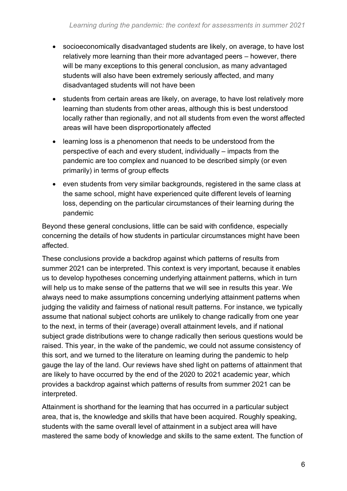- socioeconomically disadvantaged students are likely, on average, to have lost relatively more learning than their more advantaged peers – however, there will be many exceptions to this general conclusion, as many advantaged students will also have been extremely seriously affected, and many disadvantaged students will not have been
- students from certain areas are likely, on average, to have lost relatively more learning than students from other areas, although this is best understood locally rather than regionally, and not all students from even the worst affected areas will have been disproportionately affected
- learning loss is a phenomenon that needs to be understood from the perspective of each and every student, individually – impacts from the pandemic are too complex and nuanced to be described simply (or even primarily) in terms of group effects
- even students from very similar backgrounds, registered in the same class at the same school, might have experienced quite different levels of learning loss, depending on the particular circumstances of their learning during the pandemic

Beyond these general conclusions, little can be said with confidence, especially concerning the details of how students in particular circumstances might have been affected.

These conclusions provide a backdrop against which patterns of results from summer 2021 can be interpreted. This context is very important, because it enables us to develop hypotheses concerning underlying attainment patterns, which in turn will help us to make sense of the patterns that we will see in results this year. We always need to make assumptions concerning underlying attainment patterns when judging the validity and fairness of national result patterns. For instance, we typically assume that national subject cohorts are unlikely to change radically from one year to the next, in terms of their (average) overall attainment levels, and if national subject grade distributions were to change radically then serious questions would be raised. This year, in the wake of the pandemic, we could not assume consistency of this sort, and we turned to the literature on learning during the pandemic to help gauge the lay of the land. Our reviews have shed light on patterns of attainment that are likely to have occurred by the end of the 2020 to 2021 academic year, which provides a backdrop against which patterns of results from summer 2021 can be interpreted.

Attainment is shorthand for the learning that has occurred in a particular subject area, that is, the knowledge and skills that have been acquired. Roughly speaking, students with the same overall level of attainment in a subject area will have mastered the same body of knowledge and skills to the same extent. The function of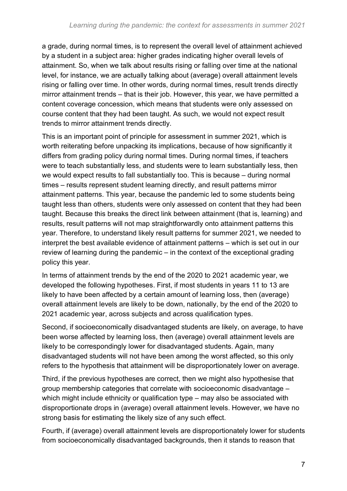a grade, during normal times, is to represent the overall level of attainment achieved by a student in a subject area: higher grades indicating higher overall levels of attainment. So, when we talk about results rising or falling over time at the national level, for instance, we are actually talking about (average) overall attainment levels rising or falling over time. In other words, during normal times, result trends directly mirror attainment trends – that is their job. However, this year, we have permitted a content coverage concession, which means that students were only assessed on course content that they had been taught. As such, we would not expect result trends to mirror attainment trends directly.

This is an important point of principle for assessment in summer 2021, which is worth reiterating before unpacking its implications, because of how significantly it differs from grading policy during normal times. During normal times, if teachers were to teach substantially less, and students were to learn substantially less, then we would expect results to fall substantially too. This is because – during normal times – results represent student learning directly, and result patterns mirror attainment patterns. This year, because the pandemic led to some students being taught less than others, students were only assessed on content that they had been taught. Because this breaks the direct link between attainment (that is, learning) and results, result patterns will not map straightforwardly onto attainment patterns this year. Therefore, to understand likely result patterns for summer 2021, we needed to interpret the best available evidence of attainment patterns – which is set out in our review of learning during the pandemic – in the context of the exceptional grading policy this year.

In terms of attainment trends by the end of the 2020 to 2021 academic year, we developed the following hypotheses. First, if most students in years 11 to 13 are likely to have been affected by a certain amount of learning loss, then (average) overall attainment levels are likely to be down, nationally, by the end of the 2020 to 2021 academic year, across subjects and across qualification types.

Second, if socioeconomically disadvantaged students are likely, on average, to have been worse affected by learning loss, then (average) overall attainment levels are likely to be correspondingly lower for disadvantaged students. Again, many disadvantaged students will not have been among the worst affected, so this only refers to the hypothesis that attainment will be disproportionately lower on average.

Third, if the previous hypotheses are correct, then we might also hypothesise that group membership categories that correlate with socioeconomic disadvantage – which might include ethnicity or qualification type – may also be associated with disproportionate drops in (average) overall attainment levels. However, we have no strong basis for estimating the likely size of any such effect.

Fourth, if (average) overall attainment levels are disproportionately lower for students from socioeconomically disadvantaged backgrounds, then it stands to reason that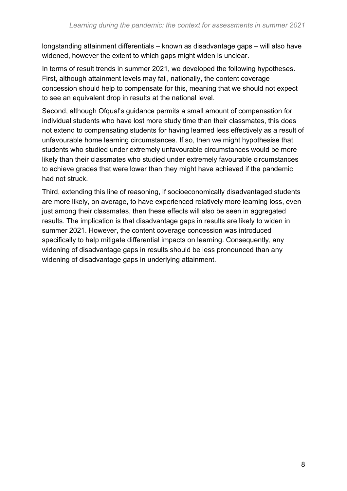longstanding attainment differentials – known as disadvantage gaps – will also have widened, however the extent to which gaps might widen is unclear.

In terms of result trends in summer 2021, we developed the following hypotheses. First, although attainment levels may fall, nationally, the content coverage concession should help to compensate for this, meaning that we should not expect to see an equivalent drop in results at the national level.

Second, although Ofqual's guidance permits a small amount of compensation for individual students who have lost more study time than their classmates, this does not extend to compensating students for having learned less effectively as a result of unfavourable home learning circumstances. If so, then we might hypothesise that students who studied under extremely unfavourable circumstances would be more likely than their classmates who studied under extremely favourable circumstances to achieve grades that were lower than they might have achieved if the pandemic had not struck.

Third, extending this line of reasoning, if socioeconomically disadvantaged students are more likely, on average, to have experienced relatively more learning loss, even just among their classmates, then these effects will also be seen in aggregated results. The implication is that disadvantage gaps in results are likely to widen in summer 2021. However, the content coverage concession was introduced specifically to help mitigate differential impacts on learning. Consequently, any widening of disadvantage gaps in results should be less pronounced than any widening of disadvantage gaps in underlying attainment.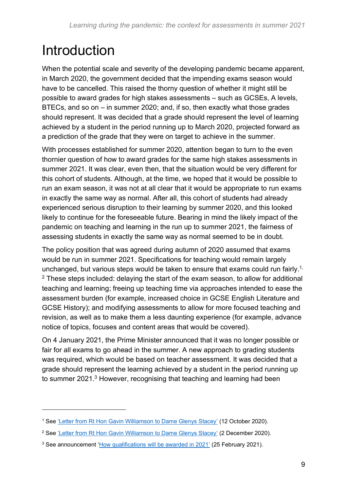# <span id="page-8-0"></span>Introduction

When the potential scale and severity of the developing pandemic became apparent, in March 2020, the government decided that the impending exams season would have to be cancelled. This raised the thorny question of whether it might still be possible to award grades for high stakes assessments – such as GCSEs, A levels, BTECs, and so on – in summer 2020; and, if so, then exactly what those grades should represent. It was decided that a grade should represent the level of learning achieved by a student in the period running up to March 2020, projected forward as a prediction of the grade that they were on target to achieve in the summer.

With processes established for summer 2020, attention began to turn to the even thornier question of how to award grades for the same high stakes assessments in summer 2021. It was clear, even then, that the situation would be very different for this cohort of students. Although, at the time, we hoped that it would be possible to run an exam season, it was not at all clear that it would be appropriate to run exams in exactly the same way as normal. After all, this cohort of students had already experienced serious disruption to their learning by summer 2020, and this looked likely to continue for the foreseeable future. Bearing in mind the likely impact of the pandemic on teaching and learning in the run up to summer 2021, the fairness of assessing students in exactly the same way as normal seemed to be in doubt.

The policy position that was agreed during autumn of 2020 assumed that exams would be run in summer 2021. Specifications for teaching would remain largely unchanged, but various steps would be taken to ensure that exams could run fairly.<sup>1,</sup>  $2$  These steps included: delaying the start of the exam season, to allow for additional teaching and learning; freeing up teaching time via approaches intended to ease the assessment burden (for example, increased choice in GCSE English Literature and GCSE History); and modifying assessments to allow for more focused teaching and revision, as well as to make them a less daunting experience (for example, advance notice of topics, focuses and content areas that would be covered).

On 4 January 2021, the Prime Minister announced that it was no longer possible or fair for all exams to go ahead in the summer. A new approach to grading students was required, which would be based on teacher assessment. It was decided that a grade should represent the learning achieved by a student in the period running up to summer 2021.<sup>3</sup> However, recognising that teaching and learning had been

<sup>&</sup>lt;sup>1</sup> See ['Letter from Rt Hon Gavin Williamson to Dame Glenys Stacey'](https://assets.publishing.service.gov.uk/government/uploads/system/uploads/attachment_data/file/926239/letter_from_DfE_Gavin_Williamson_to_Ofqual_Glenys_Stacey.pdf) (12 October 2020).

<sup>&</sup>lt;sup>2</sup> See ['Letter from Rt Hon Gavin Williamson to Dame Glenys Stacey'](https://assets.publishing.service.gov.uk/government/uploads/system/uploads/attachment_data/file/940774/SoS_to_DGS_letter_FINAL.pdf) (2 December 2020).

<sup>&</sup>lt;sup>3</sup> See announcement ['How qualifications will be awarded in 2021'](https://www.gov.uk/government/speeches/how-qualifications-will-be-awarded-in-2021) (25 February 2021).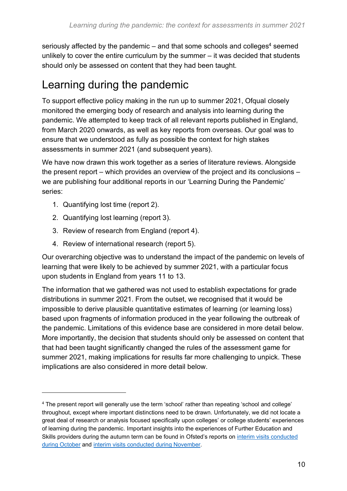seriously affected by the pandemic – and that some schools and colleges<sup>4</sup> seemed unlikely to cover the entire curriculum by the summer – it was decided that students should only be assessed on content that they had been taught.

### <span id="page-9-0"></span>Learning during the pandemic

To support effective policy making in the run up to summer 2021, Ofqual closely monitored the emerging body of research and analysis into learning during the pandemic. We attempted to keep track of all relevant reports published in England, from March 2020 onwards, as well as key reports from overseas. Our goal was to ensure that we understood as fully as possible the context for high stakes assessments in summer 2021 (and subsequent years).

We have now drawn this work together as a series of literature reviews. Alongside the present report – which provides an overview of the project and its conclusions – we are publishing four additional reports in our 'Learning During the Pandemic' series:

- 1. Quantifying lost time (report 2).
- 2. Quantifying lost learning (report 3).
- 3. Review of research from England (report 4).
- 4. Review of international research (report 5).

Our overarching objective was to understand the impact of the pandemic on levels of learning that were likely to be achieved by summer 2021, with a particular focus upon students in England from years 11 to 13.

The information that we gathered was not used to establish expectations for grade distributions in summer 2021. From the outset, we recognised that it would be impossible to derive plausible quantitative estimates of learning (or learning loss) based upon fragments of information produced in the year following the outbreak of the pandemic. Limitations of this evidence base are considered in more detail below. More importantly, the decision that students should only be assessed on content that that had been taught significantly changed the rules of the assessment game for summer 2021, making implications for results far more challenging to unpick. These implications are also considered in more detail below.

<sup>4</sup> The present report will generally use the term 'school' rather than repeating 'school and college' throughout, except where important distinctions need to be drawn. Unfortunately, we did not locate a great deal of research or analysis focused specifically upon colleges' or college students' experiences of learning during the pandemic. Important insights into the experiences of Further Education and Skills providers during the autumn term can be found in Ofsted's reports on [interim visits conducted](https://www.gov.uk/government/publications/covid-19-series-briefing-on-further-education-and-skills-october-2020)  [during October](https://www.gov.uk/government/publications/covid-19-series-briefing-on-further-education-and-skills-october-2020) and [interim visits conducted during](https://www.gov.uk/government/publications/covid-19-series-briefing-on-further-education-and-skills-november-2020) November.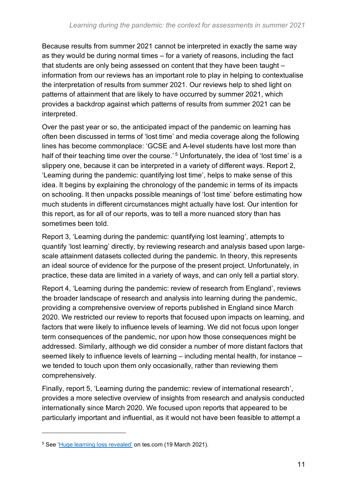Because results from summer 2021 cannot be interpreted in exactly the same way as they would be during normal times – for a variety of reasons, including the fact that students are only being assessed on content that they have been taught – information from our reviews has an important role to play in helping to contextualise the interpretation of results from summer 2021. Our reviews help to shed light on patterns of attainment that are likely to have occurred by summer 2021, which provides a backdrop against which patterns of results from summer 2021 can be interpreted.

Over the past year or so, the anticipated impact of the pandemic on learning has often been discussed in terms of 'lost time' and media coverage along the following lines has become commonplace: 'GCSE and A-level students have lost more than half of their teaching time over the course.'<sup>5</sup> Unfortunately, the idea of 'lost time' is a slippery one, because it can be interpreted in a variety of different ways. Report 2, 'Learning during the pandemic: quantifying lost time', helps to make sense of this idea. It begins by explaining the chronology of the pandemic in terms of its impacts on schooling. It then unpacks possible meanings of 'lost time' before estimating how much students in different circumstances might actually have lost. Our intention for this report, as for all of our reports, was to tell a more nuanced story than has sometimes been told.

Report 3, 'Learning during the pandemic: quantifying lost learning', attempts to quantify 'lost learning' directly, by reviewing research and analysis based upon largescale attainment datasets collected during the pandemic. In theory, this represents an ideal source of evidence for the purpose of the present project. Unfortunately, in practice, these data are limited in a variety of ways, and can only tell a partial story.

Report 4, 'Learning during the pandemic: review of research from England', reviews the broader landscape of research and analysis into learning during the pandemic, providing a comprehensive overview of reports published in England since March 2020. We restricted our review to reports that focused upon impacts on learning, and factors that were likely to influence levels of learning. We did not focus upon longer term consequences of the pandemic, nor upon how those consequences might be addressed. Similarly, although we did consider a number of more distant factors that seemed likely to influence levels of learning – including mental health, for instance – we tended to touch upon them only occasionally, rather than reviewing them comprehensively.

Finally, report 5, 'Learning during the pandemic: review of international research', provides a more selective overview of insights from research and analysis conducted internationally since March 2020. We focused upon reports that appeared to be particularly important and influential, as it would not have been feasible to attempt a

<sup>5</sup> See ['Huge learning loss revealed'](https://www.tes.com/news/exclusive-gcses-2021-huge-learning-loss-revealed) on tes.com (19 March 2021).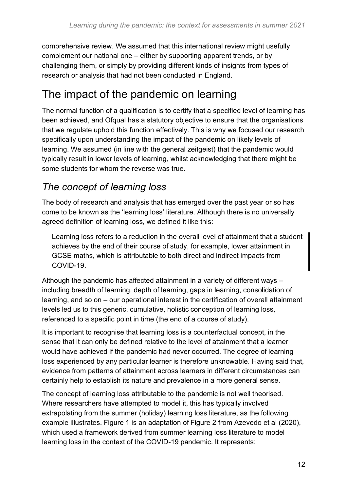comprehensive review. We assumed that this international review might usefully complement our national one – either by supporting apparent trends, or by challenging them, or simply by providing different kinds of insights from types of research or analysis that had not been conducted in England.

### <span id="page-11-0"></span>The impact of the pandemic on learning

The normal function of a qualification is to certify that a specified level of learning has been achieved, and Ofqual has a statutory objective to ensure that the organisations that we regulate uphold this function effectively. This is why we focused our research specifically upon understanding the impact of the pandemic on likely levels of learning. We assumed (in line with the general zeitgeist) that the pandemic would typically result in lower levels of learning, whilst acknowledging that there might be some students for whom the reverse was true.

### *The concept of learning loss*

The body of research and analysis that has emerged over the past year or so has come to be known as the 'learning loss' literature. Although there is no universally agreed definition of learning loss, we defined it like this:

Learning loss refers to a reduction in the overall level of attainment that a student achieves by the end of their course of study, for example, lower attainment in GCSE maths, which is attributable to both direct and indirect impacts from COVID-19.

Although the pandemic has affected attainment in a variety of different ways – including breadth of learning, depth of learning, gaps in learning, consolidation of learning, and so on – our operational interest in the certification of overall attainment levels led us to this generic, cumulative, holistic conception of learning loss, referenced to a specific point in time (the end of a course of study).

It is important to recognise that learning loss is a counterfactual concept, in the sense that it can only be defined relative to the level of attainment that a learner would have achieved if the pandemic had never occurred. The degree of learning loss experienced by any particular learner is therefore unknowable. Having said that, evidence from patterns of attainment across learners in different circumstances can certainly help to establish its nature and prevalence in a more general sense.

The concept of learning loss attributable to the pandemic is not well theorised. Where researchers have attempted to model it, this has typically involved extrapolating from the summer (holiday) learning loss literature, as the following example illustrates. Figure 1 is an adaptation of Figure 2 from Azevedo et al (2020), which used a framework derived from summer learning loss literature to model learning loss in the context of the COVID-19 pandemic. It represents: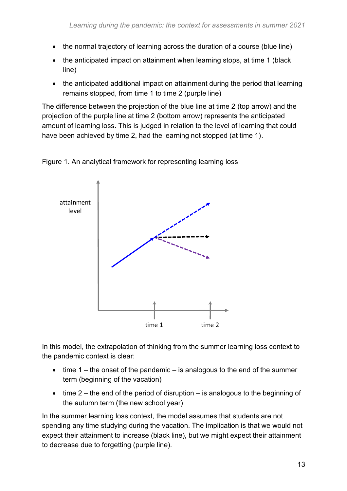- the normal trajectory of learning across the duration of a course (blue line)
- the anticipated impact on attainment when learning stops, at time 1 (black line)
- the anticipated additional impact on attainment during the period that learning remains stopped, from time 1 to time 2 (purple line)

The difference between the projection of the blue line at time 2 (top arrow) and the projection of the purple line at time 2 (bottom arrow) represents the anticipated amount of learning loss. This is judged in relation to the level of learning that could have been achieved by time 2, had the learning not stopped (at time 1).



Figure 1. An analytical framework for representing learning loss

In this model, the extrapolation of thinking from the summer learning loss context to the pandemic context is clear:

- time  $1$  the onset of the pandemic is analogous to the end of the summer term (beginning of the vacation)
- time  $2$  the end of the period of disruption is analogous to the beginning of the autumn term (the new school year)

In the summer learning loss context, the model assumes that students are not spending any time studying during the vacation. The implication is that we would not expect their attainment to increase (black line), but we might expect their attainment to decrease due to forgetting (purple line).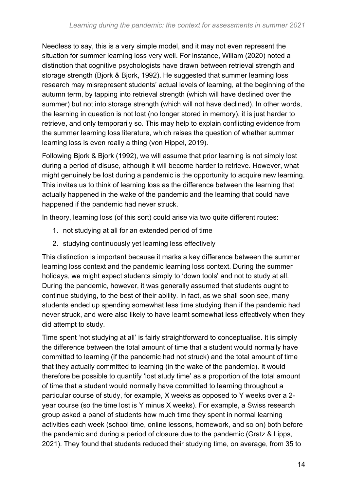Needless to say, this is a very simple model, and it may not even represent the situation for summer learning loss very well. For instance, Wiliam (2020) noted a distinction that cognitive psychologists have drawn between retrieval strength and storage strength (Bjork & Bjork, 1992). He suggested that summer learning loss research may misrepresent students' actual levels of learning, at the beginning of the autumn term, by tapping into retrieval strength (which will have declined over the summer) but not into storage strength (which will not have declined). In other words, the learning in question is not lost (no longer stored in memory), it is just harder to retrieve, and only temporarily so. This may help to explain conflicting evidence from the summer learning loss literature, which raises the question of whether summer learning loss is even really a thing (von Hippel, 2019).

Following Bjork & Bjork (1992), we will assume that prior learning is not simply lost during a period of disuse, although it will become harder to retrieve. However, what might genuinely be lost during a pandemic is the opportunity to acquire new learning. This invites us to think of learning loss as the difference between the learning that actually happened in the wake of the pandemic and the learning that could have happened if the pandemic had never struck.

In theory, learning loss (of this sort) could arise via two quite different routes:

- 1. not studying at all for an extended period of time
- 2. studying continuously yet learning less effectively

This distinction is important because it marks a key difference between the summer learning loss context and the pandemic learning loss context. During the summer holidays, we might expect students simply to 'down tools' and not to study at all. During the pandemic, however, it was generally assumed that students ought to continue studying, to the best of their ability. In fact, as we shall soon see, many students ended up spending somewhat less time studying than if the pandemic had never struck, and were also likely to have learnt somewhat less effectively when they did attempt to study.

Time spent 'not studying at all' is fairly straightforward to conceptualise. It is simply the difference between the total amount of time that a student would normally have committed to learning (if the pandemic had not struck) and the total amount of time that they actually committed to learning (in the wake of the pandemic). It would therefore be possible to quantify 'lost study time' as a proportion of the total amount of time that a student would normally have committed to learning throughout a particular course of study, for example, X weeks as opposed to Y weeks over a 2 year course (so the time lost is Y minus X weeks). For example, a Swiss research group asked a panel of students how much time they spent in normal learning activities each week (school time, online lessons, homework, and so on) both before the pandemic and during a period of closure due to the pandemic (Gratz & Lipps, 2021). They found that students reduced their studying time, on average, from 35 to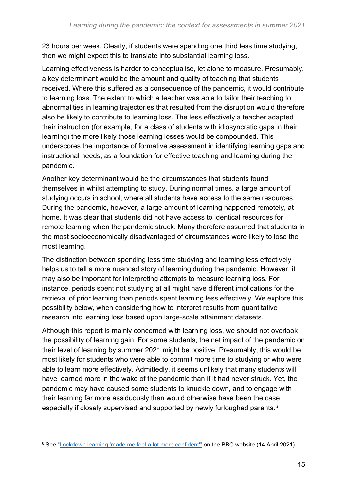23 hours per week. Clearly, if students were spending one third less time studying, then we might expect this to translate into substantial learning loss.

Learning effectiveness is harder to conceptualise, let alone to measure. Presumably, a key determinant would be the amount and quality of teaching that students received. Where this suffered as a consequence of the pandemic, it would contribute to learning loss. The extent to which a teacher was able to tailor their teaching to abnormalities in learning trajectories that resulted from the disruption would therefore also be likely to contribute to learning loss. The less effectively a teacher adapted their instruction (for example, for a class of students with idiosyncratic gaps in their learning) the more likely those learning losses would be compounded. This underscores the importance of formative assessment in identifying learning gaps and instructional needs, as a foundation for effective teaching and learning during the pandemic.

Another key determinant would be the circumstances that students found themselves in whilst attempting to study. During normal times, a large amount of studying occurs in school, where all students have access to the same resources. During the pandemic, however, a large amount of learning happened remotely, at home. It was clear that students did not have access to identical resources for remote learning when the pandemic struck. Many therefore assumed that students in the most socioeconomically disadvantaged of circumstances were likely to lose the most learning.

The distinction between spending less time studying and learning less effectively helps us to tell a more nuanced story of learning during the pandemic. However, it may also be important for interpreting attempts to measure learning loss. For instance, periods spent not studying at all might have different implications for the retrieval of prior learning than periods spent learning less effectively. We explore this possibility below, when considering how to interpret results from quantitative research into learning loss based upon large-scale attainment datasets.

Although this report is mainly concerned with learning loss, we should not overlook the possibility of learning gain. For some students, the net impact of the pandemic on their level of learning by summer 2021 might be positive. Presumably, this would be most likely for students who were able to commit more time to studying or who were able to learn more effectively. Admittedly, it seems unlikely that many students will have learned more in the wake of the pandemic than if it had never struck. Yet, the pandemic may have caused some students to knuckle down, and to engage with their learning far more assiduously than would otherwise have been the case, especially if closely supervised and supported by newly furloughed parents.<sup>6</sup>

<sup>&</sup>lt;sup>6</sup> See ["Lockdown learning 'made me feel a lot more confident'"](https://www.bbc.co.uk/news/av/education-56737536) on the BBC website (14 April 2021).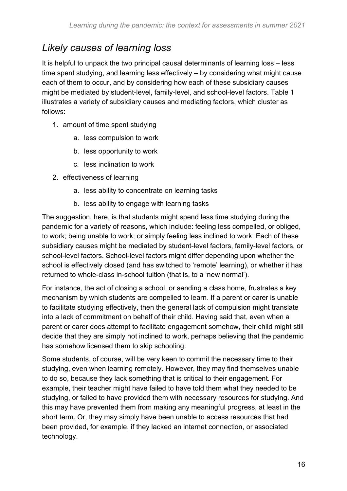### *Likely causes of learning loss*

It is helpful to unpack the two principal causal determinants of learning loss – less time spent studying, and learning less effectively – by considering what might cause each of them to occur, and by considering how each of these subsidiary causes might be mediated by student-level, family-level, and school-level factors. Table 1 illustrates a variety of subsidiary causes and mediating factors, which cluster as follows:

- 1. amount of time spent studying
	- a. less compulsion to work
	- b. less opportunity to work
	- c. less inclination to work
- 2. effectiveness of learning
	- a. less ability to concentrate on learning tasks
	- b. less ability to engage with learning tasks

The suggestion, here, is that students might spend less time studying during the pandemic for a variety of reasons, which include: feeling less compelled, or obliged, to work; being unable to work; or simply feeling less inclined to work. Each of these subsidiary causes might be mediated by student-level factors, family-level factors, or school-level factors. School-level factors might differ depending upon whether the school is effectively closed (and has switched to 'remote' learning), or whether it has returned to whole-class in-school tuition (that is, to a 'new normal').

For instance, the act of closing a school, or sending a class home, frustrates a key mechanism by which students are compelled to learn. If a parent or carer is unable to facilitate studying effectively, then the general lack of compulsion might translate into a lack of commitment on behalf of their child. Having said that, even when a parent or carer does attempt to facilitate engagement somehow, their child might still decide that they are simply not inclined to work, perhaps believing that the pandemic has somehow licensed them to skip schooling.

Some students, of course, will be very keen to commit the necessary time to their studying, even when learning remotely. However, they may find themselves unable to do so, because they lack something that is critical to their engagement. For example, their teacher might have failed to have told them what they needed to be studying, or failed to have provided them with necessary resources for studying. And this may have prevented them from making any meaningful progress, at least in the short term. Or, they may simply have been unable to access resources that had been provided, for example, if they lacked an internet connection, or associated technology.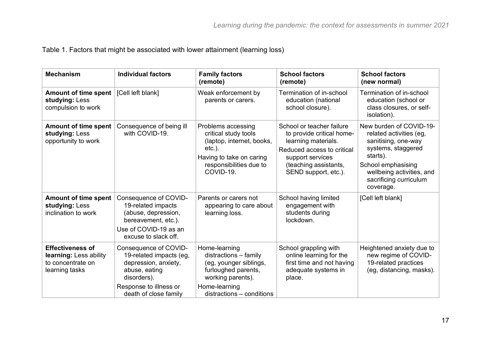|  | Table 1. Factors that might be associated with lower attainment (learning loss) |  |
|--|---------------------------------------------------------------------------------|--|
|  |                                                                                 |  |

| <b>Mechanism</b>                                                                         | <b>Individual factors</b>                                                                                                                                   | <b>Family factors</b><br>(remote)                                                                                                                          | <b>School factors</b><br>(remote)                                                                                                                                                | <b>School factors</b><br>(new normal)                                                                                                                                                                 |
|------------------------------------------------------------------------------------------|-------------------------------------------------------------------------------------------------------------------------------------------------------------|------------------------------------------------------------------------------------------------------------------------------------------------------------|----------------------------------------------------------------------------------------------------------------------------------------------------------------------------------|-------------------------------------------------------------------------------------------------------------------------------------------------------------------------------------------------------|
| <b>Amount of time spent</b><br>studying: Less<br>compulsion to work                      | [Cell left blank]                                                                                                                                           | Weak enforcement by<br>parents or carers.                                                                                                                  | Termination of in-school<br>education (national<br>school closure).                                                                                                              | Termination of in-school<br>education (school or<br>class closures, or self-<br>isolation).                                                                                                           |
| <b>Amount of time spent</b><br>studying: Less<br>opportunity to work                     | Consequence of being ill<br>with COVID-19.                                                                                                                  | Problems accessing<br>critical study tools<br>(laptop, internet, books,<br>$etc.$ ).<br>Having to take on caring<br>responsibilities due to<br>COVID-19.   | School or teacher failure<br>to provide critical home-<br>learning materials.<br>Reduced access to critical<br>support services<br>(teaching assistants,<br>SEND support, etc.). | New burden of COVID-19-<br>related activities (eg,<br>sanitising, one-way<br>systems, staggered<br>starts).<br>School emphasising<br>wellbeing activities, and<br>sacrificing curriculum<br>coverage. |
| <b>Amount of time spent</b><br>studying: Less<br>inclination to work                     | Consequence of COVID-<br>19-related impacts<br>(abuse, depression,<br>bereavement, etc.).<br>Use of COVID-19 as an<br>excuse to slack off.                  | Parents or carers not<br>appearing to care about<br>learning loss.                                                                                         | School having limited<br>engagement with<br>students during<br>lockdown.                                                                                                         | [Cell left blank]                                                                                                                                                                                     |
| <b>Effectiveness of</b><br>learning: Less ability<br>to concentrate on<br>learning tasks | Consequence of COVID-<br>19-related impacts (eg,<br>depression, anxiety,<br>abuse, eating<br>disorders).<br>Response to illness or<br>death of close family | Home-learning<br>distractions - family<br>(eg, younger siblings,<br>furloughed parents,<br>working parents).<br>Home-learning<br>distractions - conditions | School grappling with<br>online learning for the<br>first time and not having<br>adequate systems in<br>place.                                                                   | Heightened anxiety due to<br>new regime of COVID-<br>19-related practices<br>(eg, distancing, masks).                                                                                                 |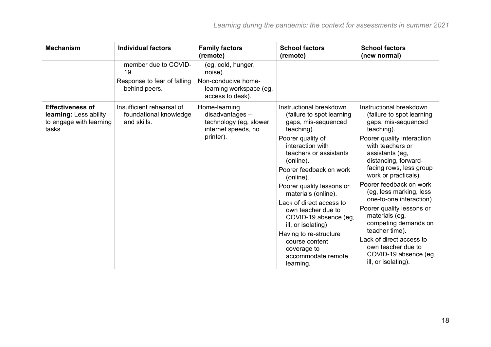| <b>Mechanism</b>                                                                      | <b>Individual factors</b>                                                   | <b>Family factors</b><br>(remote)                                                                   | <b>School factors</b><br>(remote)                                                                                                                                                                                                                                                                                                                                                                                                                                     | <b>School factors</b><br>(new normal)                                                                                                                                                                                                                                                                                                                                                                                                                                                                                  |
|---------------------------------------------------------------------------------------|-----------------------------------------------------------------------------|-----------------------------------------------------------------------------------------------------|-----------------------------------------------------------------------------------------------------------------------------------------------------------------------------------------------------------------------------------------------------------------------------------------------------------------------------------------------------------------------------------------------------------------------------------------------------------------------|------------------------------------------------------------------------------------------------------------------------------------------------------------------------------------------------------------------------------------------------------------------------------------------------------------------------------------------------------------------------------------------------------------------------------------------------------------------------------------------------------------------------|
|                                                                                       | member due to COVID-<br>19.<br>Response to fear of falling<br>behind peers. | (eg, cold, hunger,<br>noise).<br>Non-conducive home-<br>learning workspace (eg,<br>access to desk). |                                                                                                                                                                                                                                                                                                                                                                                                                                                                       |                                                                                                                                                                                                                                                                                                                                                                                                                                                                                                                        |
| <b>Effectiveness of</b><br>learning: Less ability<br>to engage with learning<br>tasks | Insufficient rehearsal of<br>foundational knowledge<br>and skills.          | Home-learning<br>$disadvantages -$<br>technology (eg, slower<br>internet speeds, no<br>printer).    | Instructional breakdown<br>(failure to spot learning<br>gaps, mis-sequenced<br>teaching).<br>Poorer quality of<br>interaction with<br>teachers or assistants<br>(online).<br>Poorer feedback on work<br>(online).<br>Poorer quality lessons or<br>materials (online).<br>Lack of direct access to<br>own teacher due to<br>COVID-19 absence (eg.<br>ill, or isolating).<br>Having to re-structure<br>course content<br>coverage to<br>accommodate remote<br>learning. | Instructional breakdown<br>(failure to spot learning<br>gaps, mis-sequenced<br>teaching).<br>Poorer quality interaction<br>with teachers or<br>assistants (eg,<br>distancing, forward-<br>facing rows, less group<br>work or practicals).<br>Poorer feedback on work<br>(eg, less marking, less<br>one-to-one interaction).<br>Poorer quality lessons or<br>materials (eg,<br>competing demands on<br>teacher time).<br>Lack of direct access to<br>own teacher due to<br>COVID-19 absence (eg,<br>ill, or isolating). |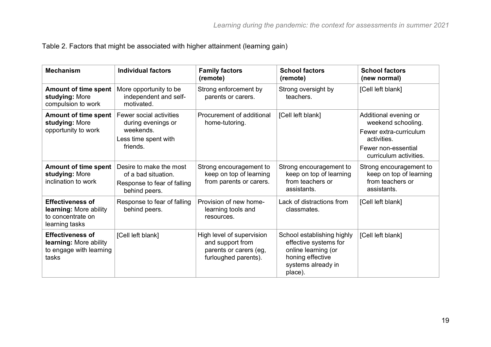Table 2. Factors that might be associated with higher attainment (learning gain)

| <b>Mechanism</b>                                                                         | <b>Individual factors</b>                                                                      | <b>Family factors</b><br>(remote)                                                               | <b>School factors</b><br>(remote)                                                                                               | <b>School factors</b><br>(new normal)                                                                                                 |
|------------------------------------------------------------------------------------------|------------------------------------------------------------------------------------------------|-------------------------------------------------------------------------------------------------|---------------------------------------------------------------------------------------------------------------------------------|---------------------------------------------------------------------------------------------------------------------------------------|
| <b>Amount of time spent</b><br>studying: More<br>compulsion to work                      | More opportunity to be<br>independent and self-<br>motivated.                                  | Strong enforcement by<br>parents or carers.                                                     | Strong oversight by<br>teachers.                                                                                                | [Cell left blank]                                                                                                                     |
| <b>Amount of time spent</b><br>studying: More<br>opportunity to work                     | Fewer social activities<br>during evenings or<br>weekends.<br>Less time spent with<br>friends. | Procurement of additional<br>home-tutoring.                                                     | [Cell left blank]                                                                                                               | Additional evening or<br>weekend schooling.<br>Fewer extra-curriculum<br>activities.<br>Fewer non-essential<br>curriculum activities. |
| <b>Amount of time spent</b><br>studying: More<br>inclination to work                     | Desire to make the most<br>of a bad situation.<br>Response to fear of falling<br>behind peers. | Strong encouragement to<br>keep on top of learning<br>from parents or carers.                   | Strong encouragement to<br>keep on top of learning<br>from teachers or<br>assistants.                                           | Strong encouragement to<br>keep on top of learning<br>from teachers or<br>assistants.                                                 |
| <b>Effectiveness of</b><br>learning: More ability<br>to concentrate on<br>learning tasks | Response to fear of falling<br>behind peers.                                                   | Provision of new home-<br>learning tools and<br>resources.                                      | Lack of distractions from<br>classmates.                                                                                        | [Cell left blank]                                                                                                                     |
| <b>Effectiveness of</b><br>learning: More ability<br>to engage with learning<br>tasks    | [Cell left blank]                                                                              | High level of supervision<br>and support from<br>parents or carers (eg,<br>furloughed parents). | School establishing highly<br>effective systems for<br>online learning (or<br>honing effective<br>systems already in<br>place). | [Cell left blank]                                                                                                                     |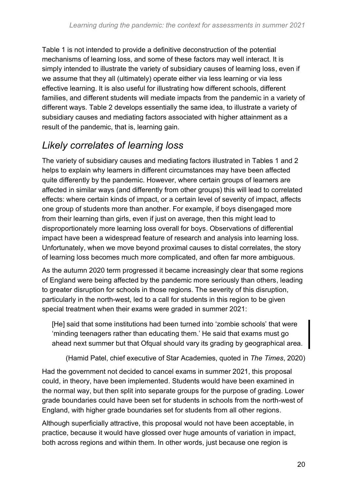Table 1 is not intended to provide a definitive deconstruction of the potential mechanisms of learning loss, and some of these factors may well interact. It is simply intended to illustrate the variety of subsidiary causes of learning loss, even if we assume that they all (ultimately) operate either via less learning or via less effective learning. It is also useful for illustrating how different schools, different families, and different students will mediate impacts from the pandemic in a variety of different ways. Table 2 develops essentially the same idea, to illustrate a variety of subsidiary causes and mediating factors associated with higher attainment as a result of the pandemic, that is, learning gain.

### *Likely correlates of learning loss*

The variety of subsidiary causes and mediating factors illustrated in Tables 1 and 2 helps to explain why learners in different circumstances may have been affected quite differently by the pandemic. However, where certain groups of learners are affected in similar ways (and differently from other groups) this will lead to correlated effects: where certain kinds of impact, or a certain level of severity of impact, affects one group of students more than another. For example, if boys disengaged more from their learning than girls, even if just on average, then this might lead to disproportionately more learning loss overall for boys. Observations of differential impact have been a widespread feature of research and analysis into learning loss. Unfortunately, when we move beyond proximal causes to distal correlates, the story of learning loss becomes much more complicated, and often far more ambiguous.

As the autumn 2020 term progressed it became increasingly clear that some regions of England were being affected by the pandemic more seriously than others, leading to greater disruption for schools in those regions. The severity of this disruption, particularly in the north-west, led to a call for students in this region to be given special treatment when their exams were graded in summer 2021:

[He] said that some institutions had been turned into 'zombie schools' that were 'minding teenagers rather than educating them.' He said that exams must go ahead next summer but that Ofqual should vary its grading by geographical area.

(Hamid Patel, chief executive of Star Academies, quoted in *The Times*, 2020)

Had the government not decided to cancel exams in summer 2021, this proposal could, in theory, have been implemented. Students would have been examined in the normal way, but then split into separate groups for the purpose of grading. Lower grade boundaries could have been set for students in schools from the north-west of England, with higher grade boundaries set for students from all other regions.

Although superficially attractive, this proposal would not have been acceptable, in practice, because it would have glossed over huge amounts of variation in impact, both across regions and within them. In other words, just because one region is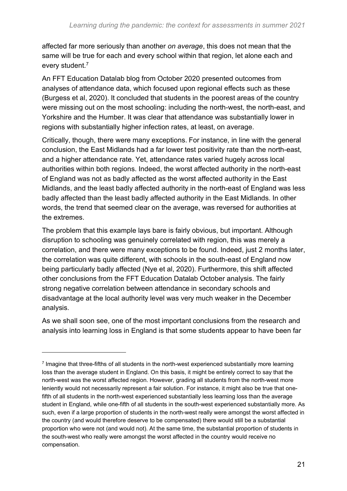affected far more seriously than another *on average*, this does not mean that the same will be true for each and every school within that region, let alone each and every student.<sup>7</sup>

An FFT Education Datalab blog from October 2020 presented outcomes from analyses of attendance data, which focused upon regional effects such as these (Burgess et al, 2020). It concluded that students in the poorest areas of the country were missing out on the most schooling: including the north-west, the north-east, and Yorkshire and the Humber. It was clear that attendance was substantially lower in regions with substantially higher infection rates, at least, on average.

Critically, though, there were many exceptions. For instance, in line with the general conclusion, the East Midlands had a far lower test positivity rate than the north-east, and a higher attendance rate. Yet, attendance rates varied hugely across local authorities within both regions. Indeed, the worst affected authority in the north-east of England was not as badly affected as the worst affected authority in the East Midlands, and the least badly affected authority in the north-east of England was less badly affected than the least badly affected authority in the East Midlands. In other words, the trend that seemed clear on the average, was reversed for authorities at the extremes.

The problem that this example lays bare is fairly obvious, but important. Although disruption to schooling was genuinely correlated with region, this was merely a correlation, and there were many exceptions to be found. Indeed, just 2 months later, the correlation was quite different, with schools in the south-east of England now being particularly badly affected (Nye et al, 2020). Furthermore, this shift affected other conclusions from the FFT Education Datalab October analysis. The fairly strong negative correlation between attendance in secondary schools and disadvantage at the local authority level was very much weaker in the December analysis.

As we shall soon see, one of the most important conclusions from the research and analysis into learning loss in England is that some students appear to have been far

<sup>&</sup>lt;sup>7</sup> Imagine that three-fifths of all students in the north-west experienced substantially more learning loss than the average student in England. On this basis, it might be entirely correct to say that the north-west was the worst affected region. However, grading all students from the north-west more leniently would not necessarily represent a fair solution. For instance, it might also be true that onefifth of all students in the north-west experienced substantially less learning loss than the average student in England, while one-fifth of all students in the south-west experienced substantially more. As such, even if a large proportion of students in the north-west really were amongst the worst affected in the country (and would therefore deserve to be compensated) there would still be a substantial proportion who were not (and would not). At the same time, the substantial proportion of students in the south-west who really were amongst the worst affected in the country would receive no compensation.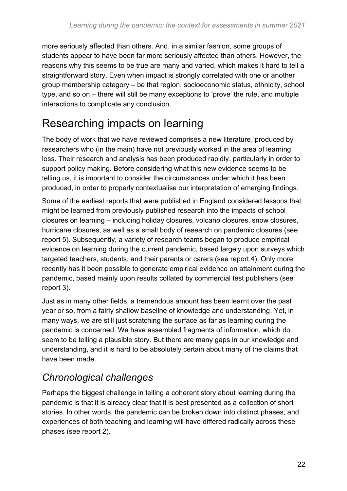more seriously affected than others. And, in a similar fashion, some groups of students appear to have been far more seriously affected than others. However, the reasons why this seems to be true are many and varied, which makes it hard to tell a straightforward story. Even when impact is strongly correlated with one or another group membership category – be that region, socioeconomic status, ethnicity, school type, and so on – there will still be many exceptions to 'prove' the rule, and multiple interactions to complicate any conclusion.

### <span id="page-21-0"></span>Researching impacts on learning

The body of work that we have reviewed comprises a new literature, produced by researchers who (in the main) have not previously worked in the area of learning loss. Their research and analysis has been produced rapidly, particularly in order to support policy making. Before considering what this new evidence seems to be telling us, it is important to consider the circumstances under which it has been produced, in order to properly contextualise our interpretation of emerging findings.

Some of the earliest reports that were published in England considered lessons that might be learned from previously published research into the impacts of school closures on learning – including holiday closures, volcano closures, snow closures, hurricane closures, as well as a small body of research on pandemic closures (see report 5). Subsequently, a variety of research teams began to produce empirical evidence on learning during the current pandemic, based largely upon surveys which targeted teachers, students, and their parents or carers (see report 4). Only more recently has it been possible to generate empirical evidence on attainment during the pandemic, based mainly upon results collated by commercial test publishers (see report 3).

Just as in many other fields, a tremendous amount has been learnt over the past year or so, from a fairly shallow baseline of knowledge and understanding. Yet, in many ways, we are still just scratching the surface as far as learning during the pandemic is concerned. We have assembled fragments of information, which do seem to be telling a plausible story. But there are many gaps in our knowledge and understanding, and it is hard to be absolutely certain about many of the claims that have been made.

### *Chronological challenges*

Perhaps the biggest challenge in telling a coherent story about learning during the pandemic is that it is already clear that it is best presented as a collection of short stories. In other words, the pandemic can be broken down into distinct phases, and experiences of both teaching and learning will have differed radically across these phases (see report 2).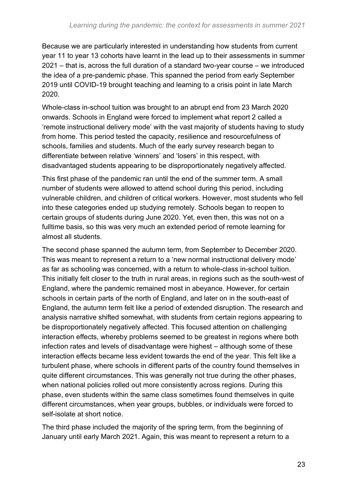Because we are particularly interested in understanding how students from current year 11 to year 13 cohorts have learnt in the lead up to their assessments in summer 2021 – that is, across the full duration of a standard two-year course – we introduced the idea of a pre-pandemic phase. This spanned the period from early September 2019 until COVID-19 brought teaching and learning to a crisis point in late March 2020.

Whole-class in-school tuition was brought to an abrupt end from 23 March 2020 onwards. Schools in England were forced to implement what report 2 called a 'remote instructional delivery mode' with the vast majority of students having to study from home. This period tested the capacity, resilience and resourcefulness of schools, families and students. Much of the early survey research began to differentiate between relative 'winners' and 'losers' in this respect, with disadvantaged students appearing to be disproportionately negatively affected.

This first phase of the pandemic ran until the end of the summer term. A small number of students were allowed to attend school during this period, including vulnerable children, and children of critical workers. However, most students who fell into these categories ended up studying remotely. Schools began to reopen to certain groups of students during June 2020. Yet, even then, this was not on a fulltime basis, so this was very much an extended period of remote learning for almost all students.

The second phase spanned the autumn term, from September to December 2020. This was meant to represent a return to a 'new normal instructional delivery mode' as far as schooling was concerned, with a return to whole-class in-school tuition. This initially felt closer to the truth in rural areas, in regions such as the south-west of England, where the pandemic remained most in abeyance. However, for certain schools in certain parts of the north of England, and later on in the south-east of England, the autumn term felt like a period of extended disruption. The research and analysis narrative shifted somewhat, with students from certain regions appearing to be disproportionately negatively affected. This focused attention on challenging interaction effects, whereby problems seemed to be greatest in regions where both infection rates and levels of disadvantage were highest – although some of these interaction effects became less evident towards the end of the year. This felt like a turbulent phase, where schools in different parts of the country found themselves in quite different circumstances. This was generally not true during the other phases, when national policies rolled out more consistently across regions. During this phase, even students within the same class sometimes found themselves in quite different circumstances, when year groups, bubbles, or individuals were forced to self-isolate at short notice.

The third phase included the majority of the spring term, from the beginning of January until early March 2021. Again, this was meant to represent a return to a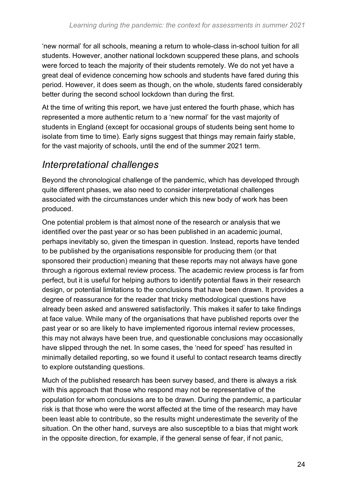'new normal' for all schools, meaning a return to whole-class in-school tuition for all students. However, another national lockdown scuppered these plans, and schools were forced to teach the majority of their students remotely. We do not yet have a great deal of evidence concerning how schools and students have fared during this period. However, it does seem as though, on the whole, students fared considerably better during the second school lockdown than during the first.

At the time of writing this report, we have just entered the fourth phase, which has represented a more authentic return to a 'new normal' for the vast majority of students in England (except for occasional groups of students being sent home to isolate from time to time). Early signs suggest that things may remain fairly stable, for the vast majority of schools, until the end of the summer 2021 term.

### *Interpretational challenges*

Beyond the chronological challenge of the pandemic, which has developed through quite different phases, we also need to consider interpretational challenges associated with the circumstances under which this new body of work has been produced.

One potential problem is that almost none of the research or analysis that we identified over the past year or so has been published in an academic journal, perhaps inevitably so, given the timespan in question. Instead, reports have tended to be published by the organisations responsible for producing them (or that sponsored their production) meaning that these reports may not always have gone through a rigorous external review process. The academic review process is far from perfect, but it is useful for helping authors to identify potential flaws in their research design, or potential limitations to the conclusions that have been drawn. It provides a degree of reassurance for the reader that tricky methodological questions have already been asked and answered satisfactorily. This makes it safer to take findings at face value. While many of the organisations that have published reports over the past year or so are likely to have implemented rigorous internal review processes, this may not always have been true, and questionable conclusions may occasionally have slipped through the net. In some cases, the 'need for speed' has resulted in minimally detailed reporting, so we found it useful to contact research teams directly to explore outstanding questions.

Much of the published research has been survey based, and there is always a risk with this approach that those who respond may not be representative of the population for whom conclusions are to be drawn. During the pandemic, a particular risk is that those who were the worst affected at the time of the research may have been least able to contribute, so the results might underestimate the severity of the situation. On the other hand, surveys are also susceptible to a bias that might work in the opposite direction, for example, if the general sense of fear, if not panic,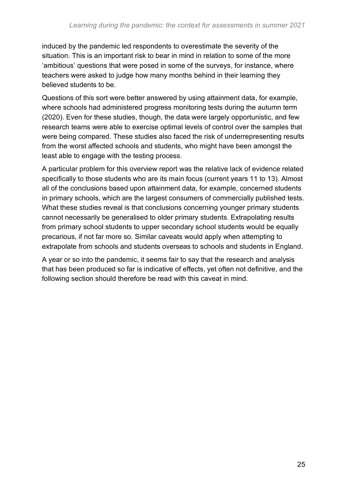induced by the pandemic led respondents to overestimate the severity of the situation. This is an important risk to bear in mind in relation to some of the more 'ambitious' questions that were posed in some of the surveys, for instance, where teachers were asked to judge how many months behind in their learning they believed students to be.

Questions of this sort were better answered by using attainment data, for example, where schools had administered progress monitoring tests during the autumn term (2020). Even for these studies, though, the data were largely opportunistic, and few research teams were able to exercise optimal levels of control over the samples that were being compared. These studies also faced the risk of underrepresenting results from the worst affected schools and students, who might have been amongst the least able to engage with the testing process.

A particular problem for this overview report was the relative lack of evidence related specifically to those students who are its main focus (current years 11 to 13). Almost all of the conclusions based upon attainment data, for example, concerned students in primary schools, which are the largest consumers of commercially published tests. What these studies reveal is that conclusions concerning younger primary students cannot necessarily be generalised to older primary students. Extrapolating results from primary school students to upper secondary school students would be equally precarious, if not far more so. Similar caveats would apply when attempting to extrapolate from schools and students overseas to schools and students in England.

A year or so into the pandemic, it seems fair to say that the research and analysis that has been produced so far is indicative of effects, yet often not definitive, and the following section should therefore be read with this caveat in mind.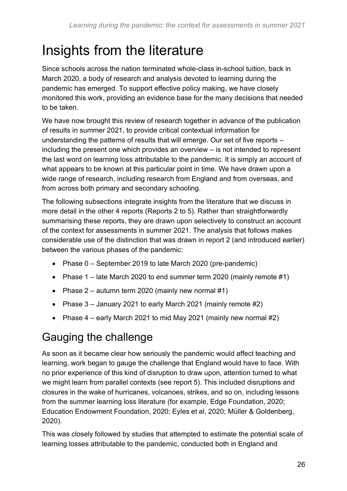# <span id="page-25-0"></span>Insights from the literature

Since schools across the nation terminated whole-class in-school tuition, back in March 2020, a body of research and analysis devoted to learning during the pandemic has emerged. To support effective policy making, we have closely monitored this work, providing an evidence base for the many decisions that needed to be taken.

We have now brought this review of research together in advance of the publication of results in summer 2021, to provide critical contextual information for understanding the patterns of results that will emerge. Our set of five reports – including the present one which provides an overview – is not intended to represent the last word on learning loss attributable to the pandemic. It is simply an account of what appears to be known at this particular point in time. We have drawn upon a wide range of research, including research from England and from overseas, and from across both primary and secondary schooling.

The following subsections integrate insights from the literature that we discuss in more detail in the other 4 reports (Reports 2 to 5). Rather than straightforwardly summarising these reports, they are drawn upon selectively to construct an account of the context for assessments in summer 2021. The analysis that follows makes considerable use of the distinction that was drawn in report 2 (and introduced earlier) between the various phases of the pandemic:

- Phase 0 September 2019 to late March 2020 (pre-pandemic)
- Phase 1 late March 2020 to end summer term 2020 (mainly remote #1)
- Phase  $2 -$  autumn term 2020 (mainly new normal  $\#1$ )
- Phase 3 January 2021 to early March 2021 (mainly remote #2)
- Phase  $4 -$  early March 2021 to mid May 2021 (mainly new normal #2)

### <span id="page-25-1"></span>Gauging the challenge

As soon as it became clear how seriously the pandemic would affect teaching and learning, work began to gauge the challenge that England would have to face. With no prior experience of this kind of disruption to draw upon, attention turned to what we might learn from parallel contexts (see report 5). This included disruptions and closures in the wake of hurricanes, volcanoes, strikes, and so on, including lessons from the summer learning loss literature (for example, Edge Foundation, 2020; Education Endowment Foundation, 2020; Eyles et al, 2020; Müller & Goldenberg, 2020).

This was closely followed by studies that attempted to estimate the potential scale of learning losses attributable to the pandemic, conducted both in England and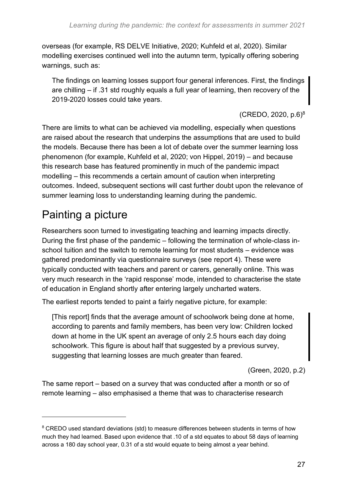overseas (for example, RS DELVE Initiative, 2020; Kuhfeld et al, 2020). Similar modelling exercises continued well into the autumn term, typically offering sobering warnings, such as:

The findings on learning losses support four general inferences. First, the findings are chilling – if .31 std roughly equals a full year of learning, then recovery of the 2019-2020 losses could take years.

(CREDO, 2020, p.6)<sup>8</sup>

There are limits to what can be achieved via modelling, especially when questions are raised about the research that underpins the assumptions that are used to build the models. Because there has been a lot of debate over the summer learning loss phenomenon (for example, Kuhfeld et al, 2020; von Hippel, 2019) – and because this research base has featured prominently in much of the pandemic impact modelling – this recommends a certain amount of caution when interpreting outcomes. Indeed, subsequent sections will cast further doubt upon the relevance of summer learning loss to understanding learning during the pandemic.

### <span id="page-26-0"></span>Painting a picture

Researchers soon turned to investigating teaching and learning impacts directly. During the first phase of the pandemic – following the termination of whole-class inschool tuition and the switch to remote learning for most students – evidence was gathered predominantly via questionnaire surveys (see report 4). These were typically conducted with teachers and parent or carers, generally online. This was very much research in the 'rapid response' mode, intended to characterise the state of education in England shortly after entering largely uncharted waters.

The earliest reports tended to paint a fairly negative picture, for example:

[This report] finds that the average amount of schoolwork being done at home, according to parents and family members, has been very low: Children locked down at home in the UK spent an average of only 2.5 hours each day doing schoolwork. This figure is about half that suggested by a previous survey, suggesting that learning losses are much greater than feared.

(Green, 2020, p.2)

The same report – based on a survey that was conducted after a month or so of remote learning – also emphasised a theme that was to characterise research

<sup>&</sup>lt;sup>8</sup> CREDO used standard deviations (std) to measure differences between students in terms of how much they had learned. Based upon evidence that .10 of a std equates to about 58 days of learning across a 180 day school year, 0.31 of a std would equate to being almost a year behind.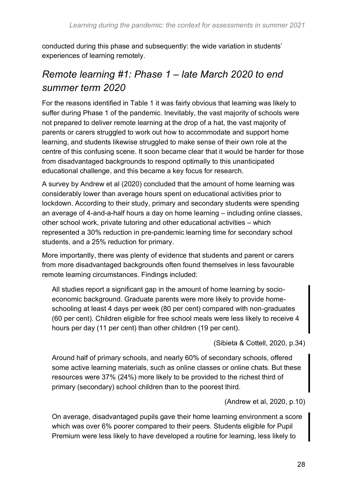conducted during this phase and subsequently: the wide variation in students' experiences of learning remotely.

### *Remote learning #1: Phase 1 – late March 2020 to end summer term 2020*

For the reasons identified in Table 1 it was fairly obvious that learning was likely to suffer during Phase 1 of the pandemic. Inevitably, the vast majority of schools were not prepared to deliver remote learning at the drop of a hat, the vast majority of parents or carers struggled to work out how to accommodate and support home learning, and students likewise struggled to make sense of their own role at the centre of this confusing scene. It soon became clear that it would be harder for those from disadvantaged backgrounds to respond optimally to this unanticipated educational challenge, and this became a key focus for research.

A survey by Andrew et al (2020) concluded that the amount of home learning was considerably lower than average hours spent on educational activities prior to lockdown. According to their study, primary and secondary students were spending an average of 4-and-a-half hours a day on home learning – including online classes, other school work, private tutoring and other educational activities – which represented a 30% reduction in pre-pandemic learning time for secondary school students, and a 25% reduction for primary.

More importantly, there was plenty of evidence that students and parent or carers from more disadvantaged backgrounds often found themselves in less favourable remote learning circumstances. Findings included:

All studies report a significant gap in the amount of home learning by socioeconomic background. Graduate parents were more likely to provide homeschooling at least 4 days per week (80 per cent) compared with non-graduates (60 per cent). Children eligible for free school meals were less likely to receive 4 hours per day (11 per cent) than other children (19 per cent).

(Sibieta & Cottell, 2020, p.34)

Around half of primary schools, and nearly 60% of secondary schools, offered some active learning materials, such as online classes or online chats. But these resources were 37% (24%) more likely to be provided to the richest third of primary (secondary) school children than to the poorest third.

(Andrew et al, 2020, p.10)

On average, disadvantaged pupils gave their home learning environment a score which was over 6% poorer compared to their peers. Students eligible for Pupil Premium were less likely to have developed a routine for learning, less likely to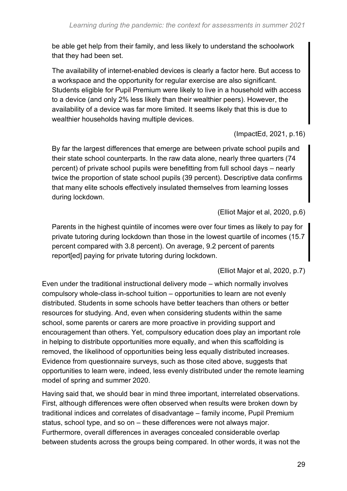be able get help from their family, and less likely to understand the schoolwork that they had been set.

The availability of internet-enabled devices is clearly a factor here. But access to a workspace and the opportunity for regular exercise are also significant. Students eligible for Pupil Premium were likely to live in a household with access to a device (and only 2% less likely than their wealthier peers). However, the availability of a device was far more limited. It seems likely that this is due to wealthier households having multiple devices.

(ImpactEd, 2021, p.16)

By far the largest differences that emerge are between private school pupils and their state school counterparts. In the raw data alone, nearly three quarters (74 percent) of private school pupils were benefitting from full school days – nearly twice the proportion of state school pupils (39 percent). Descriptive data confirms that many elite schools effectively insulated themselves from learning losses during lockdown.

(Elliot Major et al, 2020, p.6)

Parents in the highest quintile of incomes were over four times as likely to pay for private tutoring during lockdown than those in the lowest quartile of incomes (15.7 percent compared with 3.8 percent). On average, 9.2 percent of parents report[ed] paying for private tutoring during lockdown.

(Elliot Major et al, 2020, p.7)

Even under the traditional instructional delivery mode – which normally involves compulsory whole-class in-school tuition – opportunities to learn are not evenly distributed. Students in some schools have better teachers than others or better resources for studying. And, even when considering students within the same school, some parents or carers are more proactive in providing support and encouragement than others. Yet, compulsory education does play an important role in helping to distribute opportunities more equally, and when this scaffolding is removed, the likelihood of opportunities being less equally distributed increases. Evidence from questionnaire surveys, such as those cited above, suggests that opportunities to learn were, indeed, less evenly distributed under the remote learning model of spring and summer 2020.

Having said that, we should bear in mind three important, interrelated observations. First, although differences were often observed when results were broken down by traditional indices and correlates of disadvantage – family income, Pupil Premium status, school type, and so on – these differences were not always major. Furthermore, overall differences in averages concealed considerable overlap between students across the groups being compared. In other words, it was not the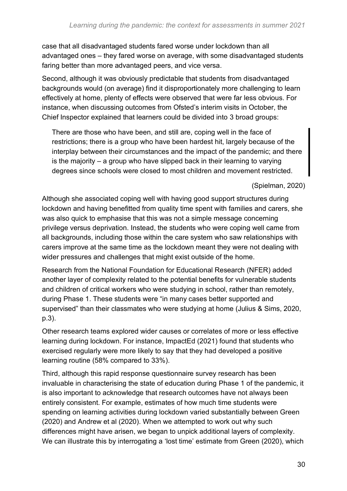case that all disadvantaged students fared worse under lockdown than all advantaged ones – they fared worse on average, with some disadvantaged students faring better than more advantaged peers, and vice versa.

Second, although it was obviously predictable that students from disadvantaged backgrounds would (on average) find it disproportionately more challenging to learn effectively at home, plenty of effects were observed that were far less obvious. For instance, when discussing outcomes from Ofsted's interim visits in October, the Chief Inspector explained that learners could be divided into 3 broad groups:

There are those who have been, and still are, coping well in the face of restrictions; there is a group who have been hardest hit, largely because of the interplay between their circumstances and the impact of the pandemic; and there is the majority – a group who have slipped back in their learning to varying degrees since schools were closed to most children and movement restricted.

(Spielman, 2020)

Although she associated coping well with having good support structures during lockdown and having benefitted from quality time spent with families and carers, she was also quick to emphasise that this was not a simple message concerning privilege versus deprivation. Instead, the students who were coping well came from all backgrounds, including those within the care system who saw relationships with carers improve at the same time as the lockdown meant they were not dealing with wider pressures and challenges that might exist outside of the home.

Research from the National Foundation for Educational Research (NFER) added another layer of complexity related to the potential benefits for vulnerable students and children of critical workers who were studying in school, rather than remotely, during Phase 1. These students were "in many cases better supported and supervised" than their classmates who were studying at home (Julius & Sims, 2020, p.3).

Other research teams explored wider causes or correlates of more or less effective learning during lockdown. For instance, ImpactEd (2021) found that students who exercised regularly were more likely to say that they had developed a positive learning routine (58% compared to 33%).

Third, although this rapid response questionnaire survey research has been invaluable in characterising the state of education during Phase 1 of the pandemic, it is also important to acknowledge that research outcomes have not always been entirely consistent. For example, estimates of how much time students were spending on learning activities during lockdown varied substantially between Green (2020) and Andrew et al (2020). When we attempted to work out why such differences might have arisen, we began to unpick additional layers of complexity. We can illustrate this by interrogating a 'lost time' estimate from Green (2020), which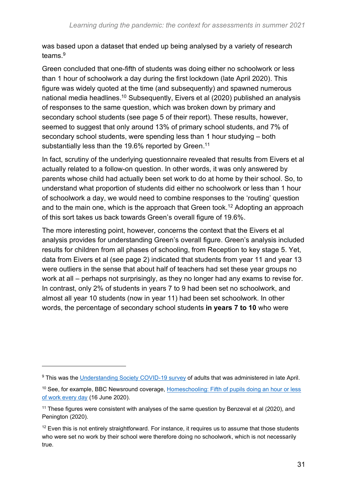was based upon a dataset that ended up being analysed by a variety of research teams.<sup>9</sup>

Green concluded that one-fifth of students was doing either no schoolwork or less than 1 hour of schoolwork a day during the first lockdown (late April 2020). This figure was widely quoted at the time (and subsequently) and spawned numerous national media headlines.<sup>10</sup> Subsequently, Eivers et al (2020) published an analysis of responses to the same question, which was broken down by primary and secondary school students (see page 5 of their report). These results, however, seemed to suggest that only around 13% of primary school students, and 7% of secondary school students, were spending less than 1 hour studying – both substantially less than the 19.6% reported by Green.<sup>11</sup>

In fact, scrutiny of the underlying questionnaire revealed that results from Eivers et al actually related to a follow-on question. In other words, it was only answered by parents whose child had actually been set work to do at home by their school. So, to understand what proportion of students did either no schoolwork or less than 1 hour of schoolwork a day, we would need to combine responses to the 'routing' question and to the main one, which is the approach that Green took.<sup>12</sup> Adopting an approach of this sort takes us back towards Green's overall figure of 19.6%.

The more interesting point, however, concerns the context that the Eivers et al analysis provides for understanding Green's overall figure. Green's analysis included results for children from all phases of schooling, from Reception to key stage 5. Yet, data from Eivers et al (see page 2) indicated that students from year 11 and year 13 were outliers in the sense that about half of teachers had set these year groups no work at all – perhaps not surprisingly, as they no longer had any exams to revise for. In contrast, only 2% of students in years 7 to 9 had been set no schoolwork, and almost all year 10 students (now in year 11) had been set schoolwork. In other words, the percentage of secondary school students **in years 7 to 10** who were

<sup>&</sup>lt;sup>9</sup> This was the [Understanding Society COVID-19 survey](https://www.understandingsociety.ac.uk/documentation/covid-19) of adults that was administered in late April.

<sup>&</sup>lt;sup>10</sup> See, for example, BBC Newsround coverage, Homeschooling: Fifth of pupils doing an hour or less [of work every day](https://www.bbc.co.uk/newsround/53050934) (16 June 2020).

 $11$  These figures were consistent with analyses of the same question by Benzeval et al (2020), and Penington (2020).

 $12$  Even this is not entirely straightforward. For instance, it requires us to assume that those students who were set no work by their school were therefore doing no schoolwork, which is not necessarily true.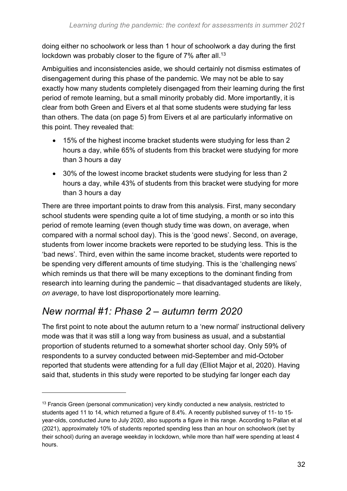doing either no schoolwork or less than 1 hour of schoolwork a day during the first lockdown was probably closer to the figure of 7% after all. $^{\rm 13}$ 

Ambiguities and inconsistencies aside, we should certainly not dismiss estimates of disengagement during this phase of the pandemic. We may not be able to say exactly how many students completely disengaged from their learning during the first period of remote learning, but a small minority probably did. More importantly, it is clear from both Green and Eivers et al that some students were studying far less than others. The data (on page 5) from Eivers et al are particularly informative on this point. They revealed that:

- 15% of the highest income bracket students were studying for less than 2 hours a day, while 65% of students from this bracket were studying for more than 3 hours a day
- 30% of the lowest income bracket students were studying for less than 2 hours a day, while 43% of students from this bracket were studying for more than 3 hours a day

There are three important points to draw from this analysis. First, many secondary school students were spending quite a lot of time studying, a month or so into this period of remote learning (even though study time was down, on average, when compared with a normal school day). This is the 'good news'. Second, on average, students from lower income brackets were reported to be studying less. This is the 'bad news'. Third, even within the same income bracket, students were reported to be spending very different amounts of time studying. This is the 'challenging news' which reminds us that there will be many exceptions to the dominant finding from research into learning during the pandemic – that disadvantaged students are likely, *on average*, to have lost disproportionately more learning.

### *New normal #1: Phase 2 – autumn term 2020*

The first point to note about the autumn return to a 'new normal' instructional delivery mode was that it was still a long way from business as usual, and a substantial proportion of students returned to a somewhat shorter school day. Only 59% of respondents to a survey conducted between mid-September and mid-October reported that students were attending for a full day (Elliot Major et al, 2020). Having said that, students in this study were reported to be studying far longer each day

<sup>&</sup>lt;sup>13</sup> Francis Green (personal communication) very kindly conducted a new analysis, restricted to students aged 11 to 14, which returned a figure of 8.4%. A recently published survey of 11- to 15 year-olds, conducted June to July 2020, also supports a figure in this range. According to Pallan et al (2021), approximately 10% of students reported spending less than an hour on schoolwork (set by their school) during an average weekday in lockdown, while more than half were spending at least 4 hours.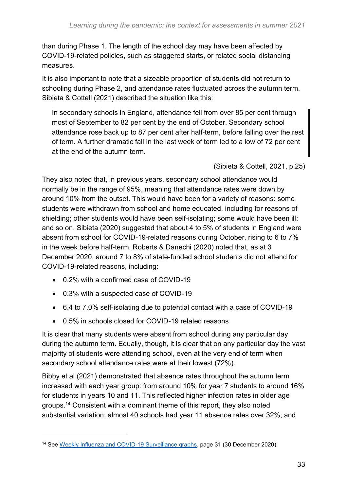than during Phase 1. The length of the school day may have been affected by COVID-19-related policies, such as staggered starts, or related social distancing measures.

It is also important to note that a sizeable proportion of students did not return to schooling during Phase 2, and attendance rates fluctuated across the autumn term. Sibieta & Cottell (2021) described the situation like this:

In secondary schools in England, attendance fell from over 85 per cent through most of September to 82 per cent by the end of October. Secondary school attendance rose back up to 87 per cent after half-term, before falling over the rest of term. A further dramatic fall in the last week of term led to a low of 72 per cent at the end of the autumn term.

(Sibieta & Cottell, 2021, p.25)

They also noted that, in previous years, secondary school attendance would normally be in the range of 95%, meaning that attendance rates were down by around 10% from the outset. This would have been for a variety of reasons: some students were withdrawn from school and home educated, including for reasons of shielding; other students would have been self-isolating; some would have been ill; and so on. Sibieta (2020) suggested that about 4 to 5% of students in England were absent from school for COVID-19-related reasons during October, rising to 6 to 7% in the week before half-term. Roberts & Danechi (2020) noted that, as at 3 December 2020, around 7 to 8% of state-funded school students did not attend for COVID-19-related reasons, including:

- 0.2% with a confirmed case of COVID-19
- 0.3% with a suspected case of COVID-19
- 6.4 to 7.0% self-isolating due to potential contact with a case of COVID-19
- 0.5% in schools closed for COVID-19 related reasons

It is clear that many students were absent from school during any particular day during the autumn term. Equally, though, it is clear that on any particular day the vast majority of students were attending school, even at the very end of term when secondary school attendance rates were at their lowest (72%).

Bibby et al (2021) demonstrated that absence rates throughout the autumn term increased with each year group: from around 10% for year 7 students to around 16% for students in years 10 and 11. This reflected higher infection rates in older age groups. <sup>14</sup> Consistent with a dominant theme of this report, they also noted substantial variation: almost 40 schools had year 11 absence rates over 32%; and

<sup>&</sup>lt;sup>14</sup> See [Weekly Influenza and COVID-19 Surveillance graphs,](https://assets.publishing.service.gov.uk/government/uploads/system/uploads/attachment_data/file/948529/Weekly_COVID-19_and_Influenza_Surveillance_Graphs_w53.pdf) page 31 (30 December 2020).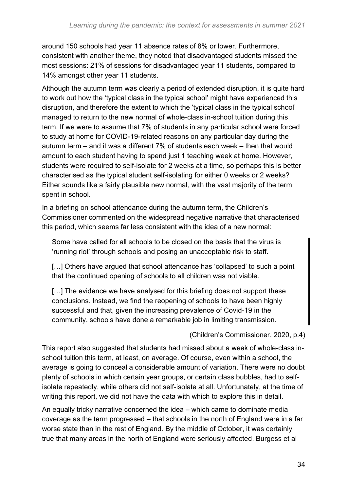around 150 schools had year 11 absence rates of 8% or lower. Furthermore, consistent with another theme, they noted that disadvantaged students missed the most sessions: 21% of sessions for disadvantaged year 11 students, compared to 14% amongst other year 11 students.

Although the autumn term was clearly a period of extended disruption, it is quite hard to work out how the 'typical class in the typical school' might have experienced this disruption, and therefore the extent to which the 'typical class in the typical school' managed to return to the new normal of whole-class in-school tuition during this term. If we were to assume that 7% of students in any particular school were forced to study at home for COVID-19-related reasons on any particular day during the autumn term – and it was a different 7% of students each week – then that would amount to each student having to spend just 1 teaching week at home. However, students were required to self-isolate for 2 weeks at a time, so perhaps this is better characterised as the typical student self-isolating for either 0 weeks or 2 weeks? Either sounds like a fairly plausible new normal, with the vast majority of the term spent in school.

In a briefing on school attendance during the autumn term, the Children's Commissioner commented on the widespread negative narrative that characterised this period, which seems far less consistent with the idea of a new normal:

Some have called for all schools to be closed on the basis that the virus is 'running riot' through schools and posing an unacceptable risk to staff.

[...] Others have argued that school attendance has 'collapsed' to such a point that the continued opening of schools to all children was not viable.

[...] The evidence we have analysed for this briefing does not support these conclusions. Instead, we find the reopening of schools to have been highly successful and that, given the increasing prevalence of Covid-19 in the community, schools have done a remarkable job in limiting transmission.

#### (Children's Commissioner, 2020, p.4)

This report also suggested that students had missed about a week of whole-class inschool tuition this term, at least, on average. Of course, even within a school, the average is going to conceal a considerable amount of variation. There were no doubt plenty of schools in which certain year groups, or certain class bubbles, had to selfisolate repeatedly, while others did not self-isolate at all. Unfortunately, at the time of writing this report, we did not have the data with which to explore this in detail.

An equally tricky narrative concerned the idea – which came to dominate media coverage as the term progressed – that schools in the north of England were in a far worse state than in the rest of England. By the middle of October, it was certainly true that many areas in the north of England were seriously affected. Burgess et al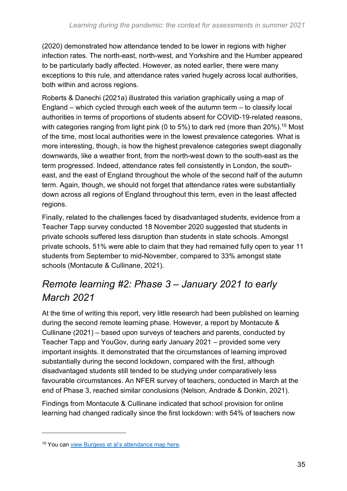(2020) demonstrated how attendance tended to be lower in regions with higher infection rates. The north-east, north-west, and Yorkshire and the Humber appeared to be particularly badly affected. However, as noted earlier, there were many exceptions to this rule, and attendance rates varied hugely across local authorities, both within and across regions.

Roberts & Danechi (2021a) illustrated this variation graphically using a map of England – which cycled through each week of the autumn term – to classify local authorities in terms of proportions of students absent for COVID-19-related reasons, with categories ranging from light pink (0 to 5%) to dark red (more than  $20\%$ ).<sup>15</sup> Most of the time, most local authorities were in the lowest prevalence categories. What is more interesting, though, is how the highest prevalence categories swept diagonally downwards, like a weather front, from the north-west down to the south-east as the term progressed. Indeed, attendance rates fell consistently in London, the southeast, and the east of England throughout the whole of the second half of the autumn term. Again, though, we should not forget that attendance rates were substantially down across all regions of England throughout this term, even in the least affected regions.

Finally, related to the challenges faced by disadvantaged students, evidence from a Teacher Tapp survey conducted 18 November 2020 suggested that students in private schools suffered less disruption than students in state schools. Amongst private schools, 51% were able to claim that they had remained fully open to year 11 students from September to mid-November, compared to 33% amongst state schools (Montacute & Cullinane, 2021).

### *Remote learning #2: Phase 3 – January 2021 to early March 2021*

At the time of writing this report, very little research had been published on learning during the second remote learning phase. However, a report by Montacute & Cullinane (2021) – based upon surveys of teachers and parents, conducted by Teacher Tapp and YouGov, during early January 2021 – provided some very important insights. It demonstrated that the circumstances of learning improved substantially during the second lockdown, compared with the first, although disadvantaged students still tended to be studying under comparatively less favourable circumstances. An NFER survey of teachers, conducted in March at the end of Phase 3, reached similar conclusions (Nelson, Andrade & Donkin, 2021).

Findings from Montacute & Cullinane indicated that school provision for online learning had changed radically since the first lockdown: with 54% of teachers now

<sup>15</sup> You can [view Burgess et al's attendance](https://commonslibrary.parliament.uk/autumn-term-2020-how-covid-19-affected-englands-state-funded-schools/) map here.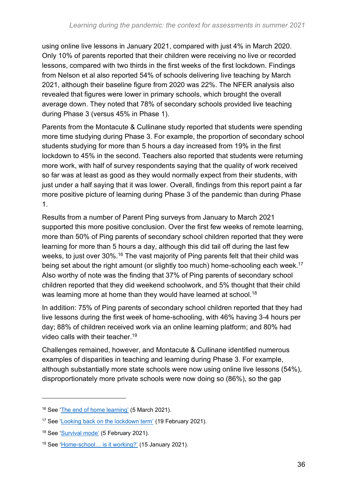using online live lessons in January 2021, compared with just 4% in March 2020. Only 10% of parents reported that their children were receiving no live or recorded lessons, compared with two thirds in the first weeks of the first lockdown. Findings from Nelson et al also reported 54% of schools delivering live teaching by March 2021, although their baseline figure from 2020 was 22%. The NFER analysis also revealed that figures were lower in primary schools, which brought the overall average down. They noted that 78% of secondary schools provided live teaching during Phase 3 (versus 45% in Phase 1).

Parents from the Montacute & Cullinane study reported that students were spending more time studying during Phase 3. For example, the proportion of secondary school students studying for more than 5 hours a day increased from 19% in the first lockdown to 45% in the second. Teachers also reported that students were returning more work, with half of survey respondents saying that the quality of work received so far was at least as good as they would normally expect from their students, with just under a half saying that it was lower. Overall, findings from this report paint a far more positive picture of learning during Phase 3 of the pandemic than during Phase 1.

Results from a number of Parent Ping surveys from January to March 2021 supported this more positive conclusion. Over the first few weeks of remote learning, more than 50% of Ping parents of secondary school children reported that they were learning for more than 5 hours a day, although this did tail off during the last few weeks, to just over 30%.<sup>16</sup> The vast majority of Ping parents felt that their child was being set about the right amount (or slightly too much) home-schooling each week.<sup>17</sup> Also worthy of note was the finding that 37% of Ping parents of secondary school children reported that they did weekend schoolwork, and 5% thought that their child was learning more at home than they would have learned at school.<sup>18</sup>

In addition: 75% of Ping parents of secondary school children reported that they had live lessons during the first week of home-schooling, with 46% having 3-4 hours per day; 88% of children received work via an online learning platform; and 80% had video calls with their teacher.<sup>19</sup>

Challenges remained, however, and Montacute & Cullinane identified numerous examples of disparities in teaching and learning during Phase 3. For example, although substantially more state schools were now using online live lessons (54%), disproportionately more private schools were now doing so (86%), so the gap

<sup>16</sup> See ['The end of home learning'](https://parentping.co.uk/the-end-of-home-learning/) (5 March 2021).

<sup>&</sup>lt;sup>17</sup> See ['Looking back on the lockdown term'](https://parentping.co.uk/looking-back-on-the-lockdown-term/) (19 February 2021).

<sup>18</sup> See ['Survival mode'](https://parentping.co.uk/survival-mode/) (5 February 2021).

<sup>19</sup> See ['Home-school… is it working?'](https://parentping.co.uk/home-school-is-it-working/) (15 January 2021).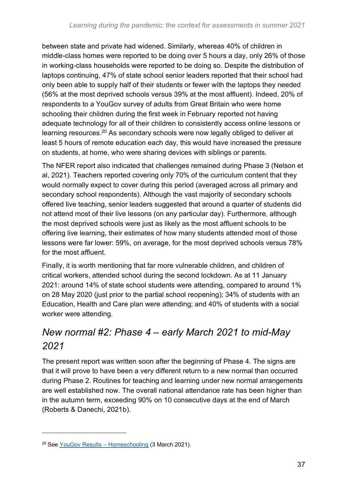between state and private had widened. Similarly, whereas 40% of children in middle-class homes were reported to be doing over 5 hours a day, only 26% of those in working-class households were reported to be doing so. Despite the distribution of laptops continuing, 47% of state school senior leaders reported that their school had only been able to supply half of their students or fewer with the laptops they needed (56% at the most deprived schools versus 39% at the most affluent). Indeed, 20% of respondents to a YouGov survey of adults from Great Britain who were home schooling their children during the first week in February reported not having adequate technology for all of their children to consistently access online lessons or learning resources.<sup>20</sup> As secondary schools were now legally obliged to deliver at least 5 hours of remote education each day, this would have increased the pressure on students, at home, who were sharing devices with siblings or parents.

The NFER report also indicated that challenges remained during Phase 3 (Nelson et al, 2021). Teachers reported covering only 70% of the curriculum content that they would normally expect to cover during this period (averaged across all primary and secondary school respondents). Although the vast majority of secondary schools offered live teaching, senior leaders suggested that around a quarter of students did not attend most of their live lessons (on any particular day). Furthermore, although the most deprived schools were just as likely as the most affluent schools to be offering live learning, their estimates of how many students attended most of those lessons were far lower: 59%, on average, for the most deprived schools versus 78% for the most affluent.

Finally, it is worth mentioning that far more vulnerable children, and children of critical workers, attended school during the second lockdown. As at 11 January 2021: around 14% of state school students were attending, compared to around 1% on 28 May 2020 (just prior to the partial school reopening); 34% of students with an Education, Health and Care plan were attending; and 40% of students with a social worker were attending.

### *New normal #2: Phase 4 – early March 2021 to mid-May 2021*

The present report was written soon after the beginning of Phase 4. The signs are that it will prove to have been a very different return to a new normal than occurred during Phase 2. Routines for teaching and learning under new normal arrangements are well established now. The overall national attendance rate has been higher than in the autumn term, exceeding 90% on 10 consecutive days at the end of March (Roberts & Danechi, 2021b).

<sup>20</sup> See [YouGov Results –](https://docs.cdn.yougov.com/p9798ntuaq/YouGov%20-%20Home%20schooling%20Results.pdf) Homeschooling (3 March 2021).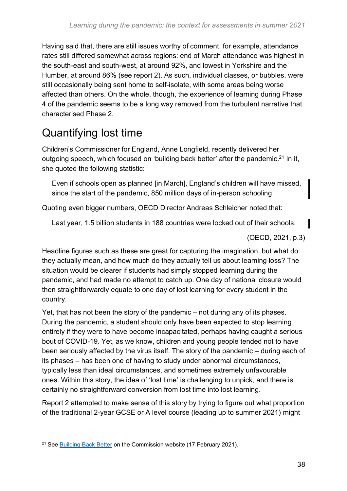Having said that, there are still issues worthy of comment, for example, attendance rates still differed somewhat across regions: end of March attendance was highest in the south-east and south-west, at around 92%, and lowest in Yorkshire and the Humber, at around 86% (see report 2). As such, individual classes, or bubbles, were still occasionally being sent home to self-isolate, with some areas being worse affected than others. On the whole, though, the experience of learning during Phase 4 of the pandemic seems to be a long way removed from the turbulent narrative that characterised Phase 2.

### <span id="page-37-0"></span>Quantifying lost time

Children's Commissioner for England, Anne Longfield, recently delivered her outgoing speech, which focused on 'building back better' after the pandemic.<sup>21</sup> In it, she quoted the following statistic:

Even if schools open as planned [in March], England's children will have missed, since the start of the pandemic, 850 million days of in-person schooling

Quoting even bigger numbers, OECD Director Andreas Schleicher noted that:

Last year, 1.5 billion students in 188 countries were locked out of their schools.

(OECD, 2021, p.3)

Headline figures such as these are great for capturing the imagination, but what do they actually mean, and how much do they actually tell us about learning loss? The situation would be clearer if students had simply stopped learning during the pandemic, and had made no attempt to catch up. One day of national closure would then straightforwardly equate to one day of lost learning for every student in the country.

Yet, that has not been the story of the pandemic – not during any of its phases. During the pandemic, a student should only have been expected to stop learning entirely if they were to have become incapacitated, perhaps having caught a serious bout of COVID-19. Yet, as we know, children and young people tended not to have been seriously affected by the virus itself. The story of the pandemic – during each of its phases – has been one of having to study under abnormal circumstances, typically less than ideal circumstances, and sometimes extremely unfavourable ones. Within this story, the idea of 'lost time' is challenging to unpick, and there is certainly no straightforward conversion from lost time into lost learning.

Report 2 attempted to make sense of this story by trying to figure out what proportion of the traditional 2-year GCSE or A level course (leading up to summer 2021) might

<sup>&</sup>lt;sup>21</sup> See [Building Back Better](https://www.childrenscommissioner.gov.uk/2021/02/17/building-back-better-reaching-englands-left-behind-children/) on the Commission website (17 February 2021).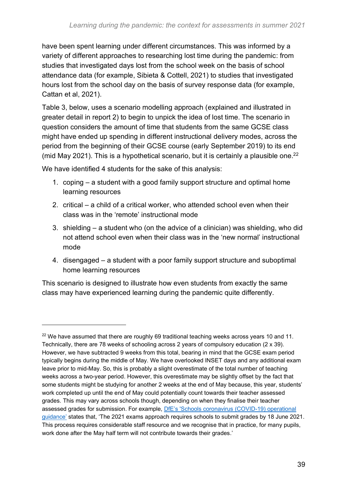have been spent learning under different circumstances. This was informed by a variety of different approaches to researching lost time during the pandemic: from studies that investigated days lost from the school week on the basis of school attendance data (for example, Sibieta & Cottell, 2021) to studies that investigated hours lost from the school day on the basis of survey response data (for example, Cattan et al, 2021).

Table 3, below, uses a scenario modelling approach (explained and illustrated in greater detail in report 2) to begin to unpick the idea of lost time. The scenario in question considers the amount of time that students from the same GCSE class might have ended up spending in different instructional delivery modes, across the period from the beginning of their GCSE course (early September 2019) to its end (mid May 2021). This is a hypothetical scenario, but it is certainly a plausible one.<sup>22</sup>

We have identified 4 students for the sake of this analysis:

- 1. coping a student with a good family support structure and optimal home learning resources
- 2. critical a child of a critical worker, who attended school even when their class was in the 'remote' instructional mode
- 3. shielding a student who (on the advice of a clinician) was shielding, who did not attend school even when their class was in the 'new normal' instructional mode
- 4. disengaged a student with a poor family support structure and suboptimal home learning resources

This scenario is designed to illustrate how even students from exactly the same class may have experienced learning during the pandemic quite differently.

 $22$  We have assumed that there are roughly 69 traditional teaching weeks across years 10 and 11. Technically, there are 78 weeks of schooling across 2 years of compulsory education (2 x 39). However, we have subtracted 9 weeks from this total, bearing in mind that the GCSE exam period typically begins during the middle of May. We have overlooked INSET days and any additional exam leave prior to mid-May. So, this is probably a slight overestimate of the total number of teaching weeks across a two-year period. However, this overestimate may be slightly offset by the fact that some students might be studying for another 2 weeks at the end of May because, this year, students' work completed up until the end of May could potentially count towards their teacher assessed grades. This may vary across schools though, depending on when they finalise their teacher assessed grades for submission. For example, [DfE's 'Schools coronavirus \(COVID-19\) operational](https://www.gov.uk/government/publications/actions-for-schools-during-the-coronavirus-outbreak/schools-coronavirus-covid-19-operational-guidance#annex-b)  [guidance'](https://www.gov.uk/government/publications/actions-for-schools-during-the-coronavirus-outbreak/schools-coronavirus-covid-19-operational-guidance#annex-b) states that, 'The 2021 exams approach requires schools to submit grades by 18 June 2021. This process requires considerable staff resource and we recognise that in practice, for many pupils, work done after the May half term will not contribute towards their grades.'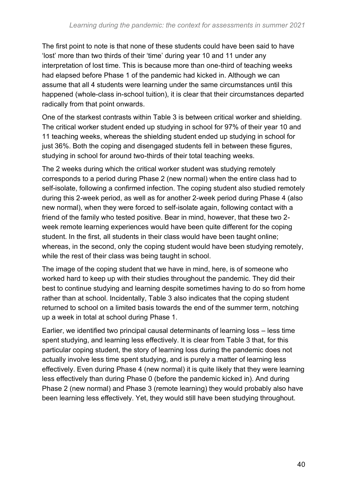The first point to note is that none of these students could have been said to have 'lost' more than two thirds of their 'time' during year 10 and 11 under any interpretation of lost time. This is because more than one-third of teaching weeks had elapsed before Phase 1 of the pandemic had kicked in. Although we can assume that all 4 students were learning under the same circumstances until this happened (whole-class in-school tuition), it is clear that their circumstances departed radically from that point onwards.

One of the starkest contrasts within Table 3 is between critical worker and shielding. The critical worker student ended up studying in school for 97% of their year 10 and 11 teaching weeks, whereas the shielding student ended up studying in school for just 36%. Both the coping and disengaged students fell in between these figures, studying in school for around two-thirds of their total teaching weeks.

The 2 weeks during which the critical worker student was studying remotely corresponds to a period during Phase 2 (new normal) when the entire class had to self-isolate, following a confirmed infection. The coping student also studied remotely during this 2-week period, as well as for another 2-week period during Phase 4 (also new normal), when they were forced to self-isolate again, following contact with a friend of the family who tested positive. Bear in mind, however, that these two 2 week remote learning experiences would have been quite different for the coping student. In the first, all students in their class would have been taught online; whereas, in the second, only the coping student would have been studying remotely, while the rest of their class was being taught in school.

The image of the coping student that we have in mind, here, is of someone who worked hard to keep up with their studies throughout the pandemic. They did their best to continue studying and learning despite sometimes having to do so from home rather than at school. Incidentally, Table 3 also indicates that the coping student returned to school on a limited basis towards the end of the summer term, notching up a week in total at school during Phase 1.

Earlier, we identified two principal causal determinants of learning loss – less time spent studying, and learning less effectively. It is clear from Table 3 that, for this particular coping student, the story of learning loss during the pandemic does not actually involve less time spent studying, and is purely a matter of learning less effectively. Even during Phase 4 (new normal) it is quite likely that they were learning less effectively than during Phase 0 (before the pandemic kicked in). And during Phase 2 (new normal) and Phase 3 (remote learning) they would probably also have been learning less effectively. Yet, they would still have been studying throughout.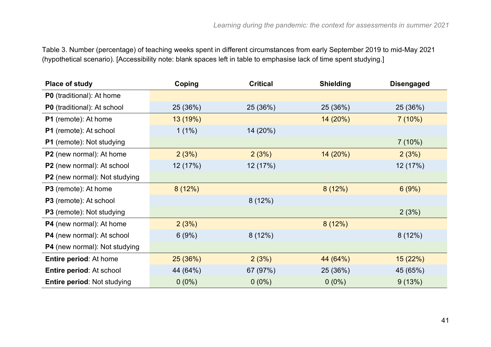Table 3. Number (percentage) of teaching weeks spent in different circumstances from early September 2019 to mid-May 2021 (hypothetical scenario). [Accessibility note: blank spaces left in table to emphasise lack of time spent studying.]

| <b>Place of study</b>                | Coping   | <b>Critical</b> | <b>Shielding</b> | <b>Disengaged</b> |
|--------------------------------------|----------|-----------------|------------------|-------------------|
| <b>P0</b> (traditional): At home     |          |                 |                  |                   |
| P0 (traditional): At school          | 25 (36%) | 25 (36%)        | 25 (36%)         | 25 (36%)          |
| P1 (remote): At home                 | 13 (19%) |                 | 14 (20%)         | 7(10%)            |
| P1 (remote): At school               | $1(1\%)$ | 14 (20%)        |                  |                   |
| <b>P1</b> (remote): Not studying     |          |                 |                  | $7(10\%)$         |
| P2 (new normal): At home             | 2(3%)    | 2(3%)           | 14 (20%)         | 2(3%)             |
| P2 (new normal): At school           | 12 (17%) | 12 (17%)        |                  | 12 (17%)          |
| P2 (new normal): Not studying        |          |                 |                  |                   |
| <b>P3</b> (remote): At home          | 8(12%)   |                 | 8(12%)           | 6(9%)             |
| <b>P3</b> (remote): At school        |          | 8(12%)          |                  |                   |
| <b>P3</b> (remote): Not studying     |          |                 |                  | 2(3%)             |
| P4 (new normal): At home             | 2(3%)    |                 | 8(12%)           |                   |
| <b>P4</b> (new normal): At school    | 6(9%)    | 8(12%)          |                  | 8(12%)            |
| <b>P4</b> (new normal): Not studying |          |                 |                  |                   |
| <b>Entire period: At home</b>        | 25(36%)  | 2(3%)           | 44 (64%)         | 15(22%)           |
| Entire period: At school             | 44 (64%) | 67 (97%)        | 25 (36%)         | 45 (65%)          |
| <b>Entire period: Not studying</b>   | $0(0\%)$ | $0(0\%)$        | $0(0\%)$         | 9(13%)            |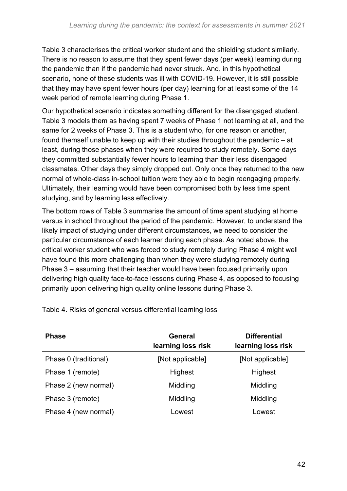Table 3 characterises the critical worker student and the shielding student similarly. There is no reason to assume that they spent fewer days (per week) learning during the pandemic than if the pandemic had never struck. And, in this hypothetical scenario, none of these students was ill with COVID-19. However, it is still possible that they may have spent fewer hours (per day) learning for at least some of the 14 week period of remote learning during Phase 1.

Our hypothetical scenario indicates something different for the disengaged student. Table 3 models them as having spent 7 weeks of Phase 1 not learning at all, and the same for 2 weeks of Phase 3. This is a student who, for one reason or another, found themself unable to keep up with their studies throughout the pandemic – at least, during those phases when they were required to study remotely. Some days they committed substantially fewer hours to learning than their less disengaged classmates. Other days they simply dropped out. Only once they returned to the new normal of whole-class in-school tuition were they able to begin reengaging properly. Ultimately, their learning would have been compromised both by less time spent studying, and by learning less effectively.

The bottom rows of Table 3 summarise the amount of time spent studying at home versus in school throughout the period of the pandemic. However, to understand the likely impact of studying under different circumstances, we need to consider the particular circumstance of each learner during each phase. As noted above, the critical worker student who was forced to study remotely during Phase 4 might well have found this more challenging than when they were studying remotely during Phase 3 – assuming that their teacher would have been focused primarily upon delivering high quality face-to-face lessons during Phase 4, as opposed to focusing primarily upon delivering high quality online lessons during Phase 3.

| <b>Phase</b>          | General<br>learning loss risk | <b>Differential</b><br>learning loss risk |
|-----------------------|-------------------------------|-------------------------------------------|
| Phase 0 (traditional) | [Not applicable]              | [Not applicable]                          |
| Phase 1 (remote)      | <b>Highest</b>                | <b>Highest</b>                            |
| Phase 2 (new normal)  | Middling                      | Middling                                  |
| Phase 3 (remote)      | Middling                      | Middling                                  |
| Phase 4 (new normal)  | Lowest                        | Lowest                                    |

Table 4. Risks of general versus differential learning loss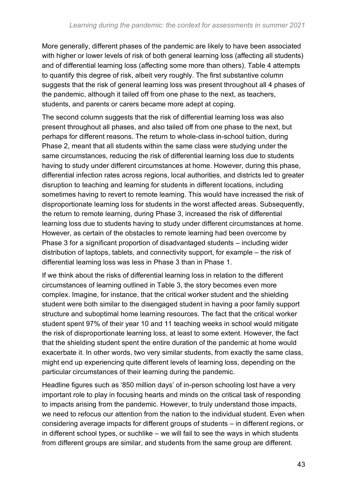More generally, different phases of the pandemic are likely to have been associated with higher or lower levels of risk of both general learning loss (affecting all students) and of differential learning loss (affecting some more than others). Table 4 attempts to quantify this degree of risk, albeit very roughly. The first substantive column suggests that the risk of general learning loss was present throughout all 4 phases of the pandemic, although it tailed off from one phase to the next, as teachers, students, and parents or carers became more adept at coping.

The second column suggests that the risk of differential learning loss was also present throughout all phases, and also tailed off from one phase to the next, but perhaps for different reasons. The return to whole-class in-school tuition, during Phase 2, meant that all students within the same class were studying under the same circumstances, reducing the risk of differential learning loss due to students having to study under different circumstances at home. However, during this phase, differential infection rates across regions, local authorities, and districts led to greater disruption to teaching and learning for students in different locations, including sometimes having to revert to remote learning. This would have increased the risk of disproportionate learning loss for students in the worst affected areas. Subsequently, the return to remote learning, during Phase 3, increased the risk of differential learning loss due to students having to study under different circumstances at home. However, as certain of the obstacles to remote learning had been overcome by Phase 3 for a significant proportion of disadvantaged students – including wider distribution of laptops, tablets, and connectivity support, for example – the risk of differential learning loss was less in Phase 3 than in Phase 1.

If we think about the risks of differential learning loss in relation to the different circumstances of learning outlined in Table 3, the story becomes even more complex. Imagine, for instance, that the critical worker student and the shielding student were both similar to the disengaged student in having a poor family support structure and suboptimal home learning resources. The fact that the critical worker student spent 97% of their year 10 and 11 teaching weeks in school would mitigate the risk of disproportionate learning loss, at least to some extent. However, the fact that the shielding student spent the entire duration of the pandemic at home would exacerbate it. In other words, two very similar students, from exactly the same class, might end up experiencing quite different levels of learning loss, depending on the particular circumstances of their learning during the pandemic.

Headline figures such as '850 million days' of in-person schooling lost have a very important role to play in focusing hearts and minds on the critical task of responding to impacts arising from the pandemic. However, to truly understand those impacts, we need to refocus our attention from the nation to the individual student. Even when considering average impacts for different groups of students – in different regions, or in different school types, or suchlike – we will fail to see the ways in which students from different groups are similar, and students from the same group are different.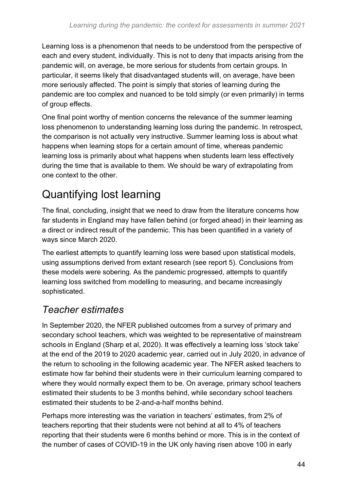Learning loss is a phenomenon that needs to be understood from the perspective of each and every student, individually. This is not to deny that impacts arising from the pandemic will, on average, be more serious for students from certain groups. In particular, it seems likely that disadvantaged students will, on average, have been more seriously affected. The point is simply that stories of learning during the pandemic are too complex and nuanced to be told simply (or even primarily) in terms of group effects.

One final point worthy of mention concerns the relevance of the summer learning loss phenomenon to understanding learning loss during the pandemic. In retrospect, the comparison is not actually very instructive. Summer learning loss is about what happens when learning stops for a certain amount of time, whereas pandemic learning loss is primarily about what happens when students learn less effectively during the time that is available to them. We should be wary of extrapolating from one context to the other.

### <span id="page-43-0"></span>Quantifying lost learning

The final, concluding, insight that we need to draw from the literature concerns how far students in England may have fallen behind (or forged ahead) in their learning as a direct or indirect result of the pandemic. This has been quantified in a variety of ways since March 2020.

The earliest attempts to quantify learning loss were based upon statistical models, using assumptions derived from extant research (see report 5). Conclusions from these models were sobering. As the pandemic progressed, attempts to quantify learning loss switched from modelling to measuring, and became increasingly sophisticated.

### *Teacher estimates*

In September 2020, the NFER published outcomes from a survey of primary and secondary school teachers, which was weighted to be representative of mainstream schools in England (Sharp et al, 2020). It was effectively a learning loss 'stock take' at the end of the 2019 to 2020 academic year, carried out in July 2020, in advance of the return to schooling in the following academic year. The NFER asked teachers to estimate how far behind their students were in their curriculum learning compared to where they would normally expect them to be. On average, primary school teachers estimated their students to be 3 months behind, while secondary school teachers estimated their students to be 2-and-a-half months behind.

Perhaps more interesting was the variation in teachers' estimates, from 2% of teachers reporting that their students were not behind at all to 4% of teachers reporting that their students were 6 months behind or more. This is in the context of the number of cases of COVID-19 in the UK only having risen above 100 in early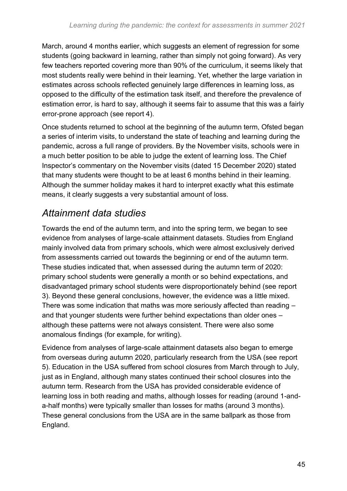March, around 4 months earlier, which suggests an element of regression for some students (going backward in learning, rather than simply not going forward). As very few teachers reported covering more than 90% of the curriculum, it seems likely that most students really were behind in their learning. Yet, whether the large variation in estimates across schools reflected genuinely large differences in learning loss, as opposed to the difficulty of the estimation task itself, and therefore the prevalence of estimation error, is hard to say, although it seems fair to assume that this was a fairly error-prone approach (see report 4).

Once students returned to school at the beginning of the autumn term, Ofsted began a series of interim visits, to understand the state of teaching and learning during the pandemic, across a full range of providers. By the November visits, schools were in a much better position to be able to judge the extent of learning loss. The Chief Inspector's commentary on the November visits (dated 15 December 2020) stated that many students were thought to be at least 6 months behind in their learning. Although the summer holiday makes it hard to interpret exactly what this estimate means, it clearly suggests a very substantial amount of loss.

### *Attainment data studies*

Towards the end of the autumn term, and into the spring term, we began to see evidence from analyses of large-scale attainment datasets. Studies from England mainly involved data from primary schools, which were almost exclusively derived from assessments carried out towards the beginning or end of the autumn term. These studies indicated that, when assessed during the autumn term of 2020: primary school students were generally a month or so behind expectations, and disadvantaged primary school students were disproportionately behind (see report 3). Beyond these general conclusions, however, the evidence was a little mixed. There was some indication that maths was more seriously affected than reading – and that younger students were further behind expectations than older ones – although these patterns were not always consistent. There were also some anomalous findings (for example, for writing).

Evidence from analyses of large-scale attainment datasets also began to emerge from overseas during autumn 2020, particularly research from the USA (see report 5). Education in the USA suffered from school closures from March through to July, just as in England, although many states continued their school closures into the autumn term. Research from the USA has provided considerable evidence of learning loss in both reading and maths, although losses for reading (around 1-anda-half months) were typically smaller than losses for maths (around 3 months). These general conclusions from the USA are in the same ballpark as those from England.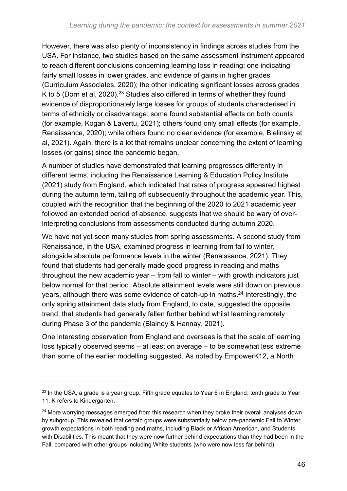However, there was also plenty of inconsistency in findings across studies from the USA. For instance, two studies based on the same assessment instrument appeared to reach different conclusions concerning learning loss in reading: one indicating fairly small losses in lower grades, and evidence of gains in higher grades (Curriculum Associates, 2020); the other indicating significant losses across grades K to 5 (Dorn et al, 2020).<sup>23</sup> Studies also differed in terms of whether they found evidence of disproportionately large losses for groups of students characterised in terms of ethnicity or disadvantage: some found substantial effects on both counts (for example, Kogan & Lavertu, 2021); others found only small effects (for example, Renaissance, 2020); while others found no clear evidence (for example, Bielinsky et al, 2021). Again, there is a lot that remains unclear concerning the extent of learning losses (or gains) since the pandemic began.

A number of studies have demonstrated that learning progresses differently in different terms, including the Renaissance Learning & Education Policy Institute (2021) study from England, which indicated that rates of progress appeared highest during the autumn term, tailing off subsequently throughout the academic year. This, coupled with the recognition that the beginning of the 2020 to 2021 academic year followed an extended period of absence, suggests that we should be wary of overinterpreting conclusions from assessments conducted during autumn 2020.

We have not yet seen many studies from spring assessments. A second study from Renaissance, in the USA, examined progress in learning from fall to winter, alongside absolute performance levels in the winter (Renaissance, 2021). They found that students had generally made good progress in reading and maths throughout the new academic year – from fall to winter – with growth indicators just below normal for that period. Absolute attainment levels were still down on previous years, although there was some evidence of catch-up in maths.<sup>24</sup> Interestingly, the only spring attainment data study from England, to date, suggested the opposite trend: that students had generally fallen further behind whilst learning remotely during Phase 3 of the pandemic (Blainey & Hannay, 2021).

One interesting observation from England and overseas is that the scale of learning loss typically observed seems – at least on average – to be somewhat less extreme than some of the earlier modelling suggested. As noted by EmpowerK12, a North

 $23$  In the USA, a grade is a year group. Fifth grade equates to Year 6 in England, tenth grade to Year 11. K refers to Kindergarten.

<sup>&</sup>lt;sup>24</sup> More worrying messages emerged from this research when they broke their overall analyses down by subgroup. This revealed that certain groups were substantially below pre-pandemic Fall to Winter growth expectations in both reading and maths, including Black or African American, and Students with Disabilities. This meant that they were now further behind expectations than they had been in the Fall, compared with other groups including White students (who were now less far behind).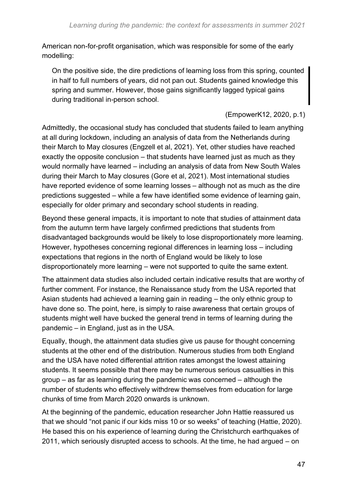American non-for-profit organisation, which was responsible for some of the early modelling:

On the positive side, the dire predictions of learning loss from this spring, counted in half to full numbers of years, did not pan out. Students gained knowledge this spring and summer. However, those gains significantly lagged typical gains during traditional in-person school.

(EmpowerK12, 2020, p.1)

Admittedly, the occasional study has concluded that students failed to learn anything at all during lockdown, including an analysis of data from the Netherlands during their March to May closures (Engzell et al, 2021). Yet, other studies have reached exactly the opposite conclusion – that students have learned just as much as they would normally have learned – including an analysis of data from New South Wales during their March to May closures (Gore et al, 2021). Most international studies have reported evidence of some learning losses – although not as much as the dire predictions suggested – while a few have identified some evidence of learning gain, especially for older primary and secondary school students in reading.

Beyond these general impacts, it is important to note that studies of attainment data from the autumn term have largely confirmed predictions that students from disadvantaged backgrounds would be likely to lose disproportionately more learning. However, hypotheses concerning regional differences in learning loss – including expectations that regions in the north of England would be likely to lose disproportionately more learning – were not supported to quite the same extent.

The attainment data studies also included certain indicative results that are worthy of further comment. For instance, the Renaissance study from the USA reported that Asian students had achieved a learning gain in reading – the only ethnic group to have done so. The point, here, is simply to raise awareness that certain groups of students might well have bucked the general trend in terms of learning during the pandemic – in England, just as in the USA.

Equally, though, the attainment data studies give us pause for thought concerning students at the other end of the distribution. Numerous studies from both England and the USA have noted differential attrition rates amongst the lowest attaining students. It seems possible that there may be numerous serious casualties in this group – as far as learning during the pandemic was concerned – although the number of students who effectively withdrew themselves from education for large chunks of time from March 2020 onwards is unknown.

At the beginning of the pandemic, education researcher John Hattie reassured us that we should "not panic if our kids miss 10 or so weeks" of teaching (Hattie, 2020). He based this on his experience of learning during the Christchurch earthquakes of 2011, which seriously disrupted access to schools. At the time, he had argued – on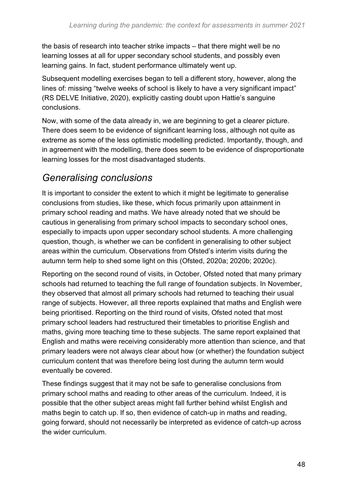the basis of research into teacher strike impacts – that there might well be no learning losses at all for upper secondary school students, and possibly even learning gains. In fact, student performance ultimately went up.

Subsequent modelling exercises began to tell a different story, however, along the lines of: missing "twelve weeks of school is likely to have a very significant impact" (RS DELVE Initiative, 2020), explicitly casting doubt upon Hattie's sanguine conclusions.

Now, with some of the data already in, we are beginning to get a clearer picture. There does seem to be evidence of significant learning loss, although not quite as extreme as some of the less optimistic modelling predicted. Importantly, though, and in agreement with the modelling, there does seem to be evidence of disproportionate learning losses for the most disadvantaged students.

### *Generalising conclusions*

It is important to consider the extent to which it might be legitimate to generalise conclusions from studies, like these, which focus primarily upon attainment in primary school reading and maths. We have already noted that we should be cautious in generalising from primary school impacts to secondary school ones, especially to impacts upon upper secondary school students. A more challenging question, though, is whether we can be confident in generalising to other subject areas within the curriculum. Observations from Ofsted's interim visits during the autumn term help to shed some light on this (Ofsted, 2020a; 2020b; 2020c).

Reporting on the second round of visits, in October, Ofsted noted that many primary schools had returned to teaching the full range of foundation subjects. In November, they observed that almost all primary schools had returned to teaching their usual range of subjects. However, all three reports explained that maths and English were being prioritised. Reporting on the third round of visits, Ofsted noted that most primary school leaders had restructured their timetables to prioritise English and maths, giving more teaching time to these subjects. The same report explained that English and maths were receiving considerably more attention than science, and that primary leaders were not always clear about how (or whether) the foundation subject curriculum content that was therefore being lost during the autumn term would eventually be covered.

These findings suggest that it may not be safe to generalise conclusions from primary school maths and reading to other areas of the curriculum. Indeed, it is possible that the other subject areas might fall further behind whilst English and maths begin to catch up. If so, then evidence of catch-up in maths and reading, going forward, should not necessarily be interpreted as evidence of catch-up across the wider curriculum.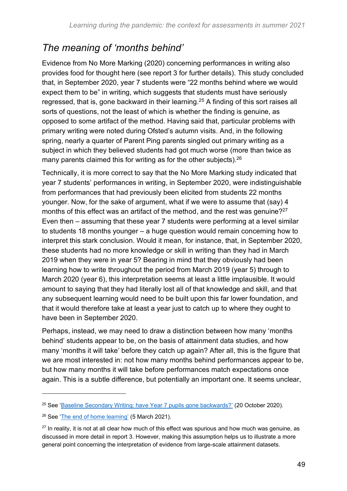### *The meaning of 'months behind'*

Evidence from No More Marking (2020) concerning performances in writing also provides food for thought here (see report 3 for further details). This study concluded that, in September 2020, year 7 students were "22 months behind where we would expect them to be" in writing, which suggests that students must have seriously regressed, that is, gone backward in their learning.<sup>25</sup> A finding of this sort raises all sorts of questions, not the least of which is whether the finding is genuine, as opposed to some artifact of the method. Having said that, particular problems with primary writing were noted during Ofsted's autumn visits. And, in the following spring, nearly a quarter of Parent Ping parents singled out primary writing as a subject in which they believed students had got much worse (more than twice as many parents claimed this for writing as for the other subjects). 26

Technically, it is more correct to say that the No More Marking study indicated that year 7 students' performances in writing, in September 2020, were indistinguishable from performances that had previously been elicited from students 22 months younger. Now, for the sake of argument, what if we were to assume that (say) 4 months of this effect was an artifact of the method, and the rest was genuine?<sup>27</sup> Even then – assuming that these year 7 students were performing at a level similar to students 18 months younger – a huge question would remain concerning how to interpret this stark conclusion. Would it mean, for instance, that, in September 2020, these students had no more knowledge or skill in writing than they had in March 2019 when they were in year 5? Bearing in mind that they obviously had been learning how to write throughout the period from March 2019 (year 5) through to March 2020 (year 6), this interpretation seems at least a little implausible. It would amount to saying that they had literally lost all of that knowledge and skill, and that any subsequent learning would need to be built upon this far lower foundation, and that it would therefore take at least a year just to catch up to where they ought to have been in September 2020.

Perhaps, instead, we may need to draw a distinction between how many 'months behind' students appear to be, on the basis of attainment data studies, and how many 'months it will take' before they catch up again? After all, this is the figure that we are most interested in: not how many months behind performances appear to be, but how many months it will take before performances match expectations once again. This is a subtle difference, but potentially an important one. It seems unclear,

<sup>&</sup>lt;sup>25</sup> See ['Baseline Secondary Writing: have Year 7 pupils gone backwards?'](https://blog.nomoremarking.com/baseline-secondary-writing-have-year-7-pupils-gone-backwards-5497ac10b894) (20 October 2020).

<sup>26</sup> See ['The end of home learning'](https://parentping.co.uk/the-end-of-home-learning/) (5 March 2021).

 $27$  In reality, it is not at all clear how much of this effect was spurious and how much was genuine, as discussed in more detail in report 3. However, making this assumption helps us to illustrate a more general point concerning the interpretation of evidence from large-scale attainment datasets.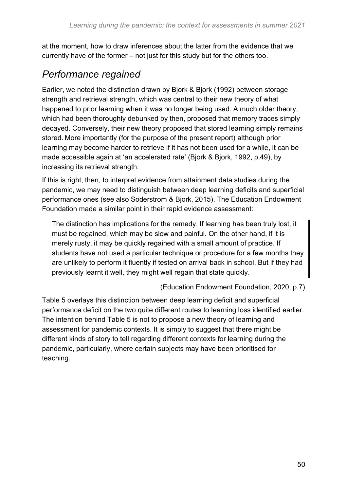at the moment, how to draw inferences about the latter from the evidence that we currently have of the former – not just for this study but for the others too.

### *Performance regained*

Earlier, we noted the distinction drawn by Bjork & Bjork (1992) between storage strength and retrieval strength, which was central to their new theory of what happened to prior learning when it was no longer being used. A much older theory, which had been thoroughly debunked by then, proposed that memory traces simply decayed. Conversely, their new theory proposed that stored learning simply remains stored. More importantly (for the purpose of the present report) although prior learning may become harder to retrieve if it has not been used for a while, it can be made accessible again at 'an accelerated rate' (Bjork & Bjork, 1992, p.49), by increasing its retrieval strength.

If this is right, then, to interpret evidence from attainment data studies during the pandemic, we may need to distinguish between deep learning deficits and superficial performance ones (see also Soderstrom & Bjork, 2015). The Education Endowment Foundation made a similar point in their rapid evidence assessment:

The distinction has implications for the remedy. If learning has been truly lost, it must be regained, which may be slow and painful. On the other hand, if it is merely rusty, it may be quickly regained with a small amount of practice. If students have not used a particular technique or procedure for a few months they are unlikely to perform it fluently if tested on arrival back in school. But if they had previously learnt it well, they might well regain that state quickly.

(Education Endowment Foundation, 2020, p.7)

Table 5 overlays this distinction between deep learning deficit and superficial performance deficit on the two quite different routes to learning loss identified earlier. The intention behind Table 5 is not to propose a new theory of learning and assessment for pandemic contexts. It is simply to suggest that there might be different kinds of story to tell regarding different contexts for learning during the pandemic, particularly, where certain subjects may have been prioritised for teaching.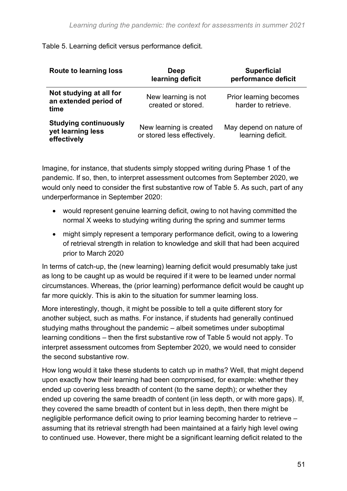| <b>Route to learning loss</b>                                    | Deep<br>learning deficit                               | <b>Superficial</b><br>performance deficit     |
|------------------------------------------------------------------|--------------------------------------------------------|-----------------------------------------------|
| Not studying at all for<br>an extended period of<br>time         | New learning is not<br>created or stored.              | Prior learning becomes<br>harder to retrieve. |
| <b>Studying continuously</b><br>yet learning less<br>effectively | New learning is created<br>or stored less effectively. | May depend on nature of<br>learning deficit.  |

#### Table 5. Learning deficit versus performance deficit.

Imagine, for instance, that students simply stopped writing during Phase 1 of the pandemic. If so, then, to interpret assessment outcomes from September 2020, we would only need to consider the first substantive row of Table 5. As such, part of any underperformance in September 2020:

- would represent genuine learning deficit, owing to not having committed the normal X weeks to studying writing during the spring and summer terms
- might simply represent a temporary performance deficit, owing to a lowering of retrieval strength in relation to knowledge and skill that had been acquired prior to March 2020

In terms of catch-up, the (new learning) learning deficit would presumably take just as long to be caught up as would be required if it were to be learned under normal circumstances. Whereas, the (prior learning) performance deficit would be caught up far more quickly. This is akin to the situation for summer learning loss.

More interestingly, though, it might be possible to tell a quite different story for another subject, such as maths. For instance, if students had generally continued studying maths throughout the pandemic – albeit sometimes under suboptimal learning conditions – then the first substantive row of Table 5 would not apply. To interpret assessment outcomes from September 2020, we would need to consider the second substantive row.

How long would it take these students to catch up in maths? Well, that might depend upon exactly how their learning had been compromised, for example: whether they ended up covering less breadth of content (to the same depth); or whether they ended up covering the same breadth of content (in less depth, or with more gaps). If, they covered the same breadth of content but in less depth, then there might be negligible performance deficit owing to prior learning becoming harder to retrieve – assuming that its retrieval strength had been maintained at a fairly high level owing to continued use. However, there might be a significant learning deficit related to the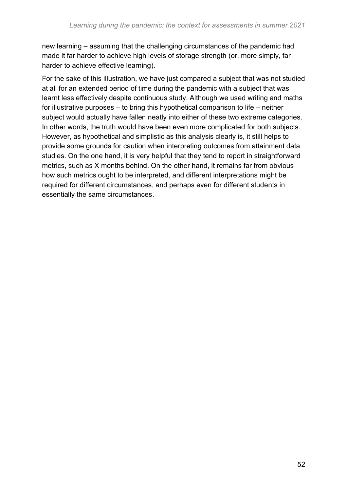new learning – assuming that the challenging circumstances of the pandemic had made it far harder to achieve high levels of storage strength (or, more simply, far harder to achieve effective learning).

For the sake of this illustration, we have just compared a subject that was not studied at all for an extended period of time during the pandemic with a subject that was learnt less effectively despite continuous study. Although we used writing and maths for illustrative purposes – to bring this hypothetical comparison to life – neither subject would actually have fallen neatly into either of these two extreme categories. In other words, the truth would have been even more complicated for both subjects. However, as hypothetical and simplistic as this analysis clearly is, it still helps to provide some grounds for caution when interpreting outcomes from attainment data studies. On the one hand, it is very helpful that they tend to report in straightforward metrics, such as X months behind. On the other hand, it remains far from obvious how such metrics ought to be interpreted, and different interpretations might be required for different circumstances, and perhaps even for different students in essentially the same circumstances.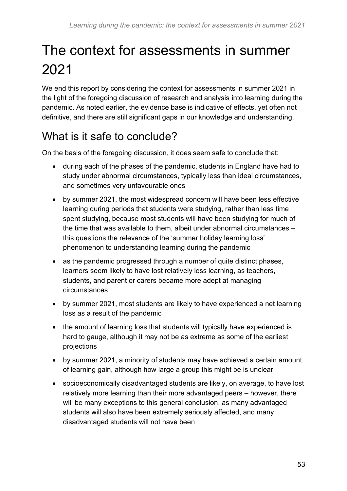# <span id="page-52-0"></span>The context for assessments in summer 2021

We end this report by considering the context for assessments in summer 2021 in the light of the foregoing discussion of research and analysis into learning during the pandemic. As noted earlier, the evidence base is indicative of effects, yet often not definitive, and there are still significant gaps in our knowledge and understanding.

### <span id="page-52-1"></span>What is it safe to conclude?

On the basis of the foregoing discussion, it does seem safe to conclude that:

- during each of the phases of the pandemic, students in England have had to study under abnormal circumstances, typically less than ideal circumstances, and sometimes very unfavourable ones
- by summer 2021, the most widespread concern will have been less effective learning during periods that students were studying, rather than less time spent studying, because most students will have been studying for much of the time that was available to them, albeit under abnormal circumstances – this questions the relevance of the 'summer holiday learning loss' phenomenon to understanding learning during the pandemic
- as the pandemic progressed through a number of quite distinct phases, learners seem likely to have lost relatively less learning, as teachers, students, and parent or carers became more adept at managing circumstances
- by summer 2021, most students are likely to have experienced a net learning loss as a result of the pandemic
- the amount of learning loss that students will typically have experienced is hard to gauge, although it may not be as extreme as some of the earliest projections
- by summer 2021, a minority of students may have achieved a certain amount of learning gain, although how large a group this might be is unclear
- socioeconomically disadvantaged students are likely, on average, to have lost relatively more learning than their more advantaged peers – however, there will be many exceptions to this general conclusion, as many advantaged students will also have been extremely seriously affected, and many disadvantaged students will not have been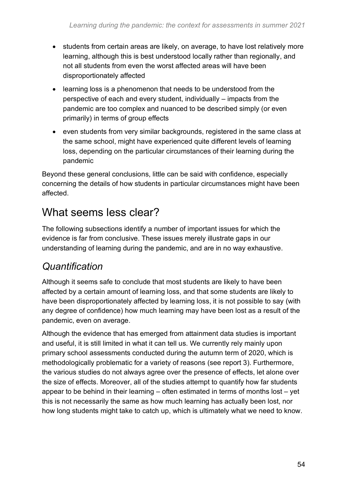- students from certain areas are likely, on average, to have lost relatively more learning, although this is best understood locally rather than regionally, and not all students from even the worst affected areas will have been disproportionately affected
- learning loss is a phenomenon that needs to be understood from the perspective of each and every student, individually – impacts from the pandemic are too complex and nuanced to be described simply (or even primarily) in terms of group effects
- even students from very similar backgrounds, registered in the same class at the same school, might have experienced quite different levels of learning loss, depending on the particular circumstances of their learning during the pandemic

Beyond these general conclusions, little can be said with confidence, especially concerning the details of how students in particular circumstances might have been affected.

### <span id="page-53-0"></span>What seems less clear?

The following subsections identify a number of important issues for which the evidence is far from conclusive. These issues merely illustrate gaps in our understanding of learning during the pandemic, and are in no way exhaustive.

### *Quantification*

Although it seems safe to conclude that most students are likely to have been affected by a certain amount of learning loss, and that some students are likely to have been disproportionately affected by learning loss, it is not possible to say (with any degree of confidence) how much learning may have been lost as a result of the pandemic, even on average.

Although the evidence that has emerged from attainment data studies is important and useful, it is still limited in what it can tell us. We currently rely mainly upon primary school assessments conducted during the autumn term of 2020, which is methodologically problematic for a variety of reasons (see report 3). Furthermore, the various studies do not always agree over the presence of effects, let alone over the size of effects. Moreover, all of the studies attempt to quantify how far students appear to be behind in their learning – often estimated in terms of months lost – yet this is not necessarily the same as how much learning has actually been lost, nor how long students might take to catch up, which is ultimately what we need to know.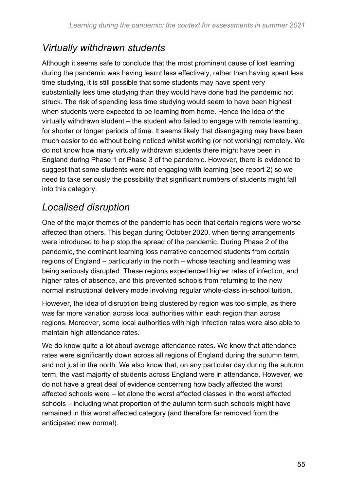### *Virtually withdrawn students*

Although it seems safe to conclude that the most prominent cause of lost learning during the pandemic was having learnt less effectively, rather than having spent less time studying, it is still possible that some students may have spent very substantially less time studying than they would have done had the pandemic not struck. The risk of spending less time studying would seem to have been highest when students were expected to be learning from home. Hence the idea of the virtually withdrawn student – the student who failed to engage with remote learning, for shorter or longer periods of time. It seems likely that disengaging may have been much easier to do without being noticed whilst working (or not working) remotely. We do not know how many virtually withdrawn students there might have been in England during Phase 1 or Phase 3 of the pandemic. However, there is evidence to suggest that some students were not engaging with learning (see report 2) so we need to take seriously the possibility that significant numbers of students might fall into this category.

### *Localised disruption*

One of the major themes of the pandemic has been that certain regions were worse affected than others. This began during October 2020, when tiering arrangements were introduced to help stop the spread of the pandemic. During Phase 2 of the pandemic, the dominant learning loss narrative concerned students from certain regions of England – particularly in the north – whose teaching and learning was being seriously disrupted. These regions experienced higher rates of infection, and higher rates of absence, and this prevented schools from returning to the new normal instructional delivery mode involving regular whole-class in-school tuition.

However, the idea of disruption being clustered by region was too simple, as there was far more variation across local authorities within each region than across regions. Moreover, some local authorities with high infection rates were also able to maintain high attendance rates.

We do know quite a lot about average attendance rates. We know that attendance rates were significantly down across all regions of England during the autumn term, and not just in the north. We also know that, on any particular day during the autumn term, the vast majority of students across England were in attendance. However, we do not have a great deal of evidence concerning how badly affected the worst affected schools were – let alone the worst affected classes in the worst affected schools – including what proportion of the autumn term such schools might have remained in this worst affected category (and therefore far removed from the anticipated new normal).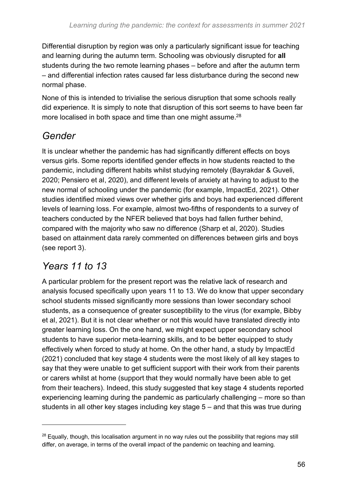Differential disruption by region was only a particularly significant issue for teaching and learning during the autumn term. Schooling was obviously disrupted for **all**  students during the two remote learning phases – before and after the autumn term – and differential infection rates caused far less disturbance during the second new normal phase.

None of this is intended to trivialise the serious disruption that some schools really did experience. It is simply to note that disruption of this sort seems to have been far more localised in both space and time than one might assume.<sup>28</sup>

### *Gender*

It is unclear whether the pandemic has had significantly different effects on boys versus girls. Some reports identified gender effects in how students reacted to the pandemic, including different habits whilst studying remotely (Bayrakdar & Guveli, 2020; Pensiero et al, 2020), and different levels of anxiety at having to adjust to the new normal of schooling under the pandemic (for example, ImpactEd, 2021). Other studies identified mixed views over whether girls and boys had experienced different levels of learning loss. For example, almost two-fifths of respondents to a survey of teachers conducted by the NFER believed that boys had fallen further behind, compared with the majority who saw no difference (Sharp et al, 2020). Studies based on attainment data rarely commented on differences between girls and boys (see report 3).

### *Years 11 to 13*

A particular problem for the present report was the relative lack of research and analysis focused specifically upon years 11 to 13. We do know that upper secondary school students missed significantly more sessions than lower secondary school students, as a consequence of greater susceptibility to the virus (for example, Bibby et al, 2021). But it is not clear whether or not this would have translated directly into greater learning loss. On the one hand, we might expect upper secondary school students to have superior meta-learning skills, and to be better equipped to study effectively when forced to study at home. On the other hand, a study by ImpactEd (2021) concluded that key stage 4 students were the most likely of all key stages to say that they were unable to get sufficient support with their work from their parents or carers whilst at home (support that they would normally have been able to get from their teachers). Indeed, this study suggested that key stage 4 students reported experiencing learning during the pandemic as particularly challenging – more so than students in all other key stages including key stage 5 – and that this was true during

<sup>&</sup>lt;sup>28</sup> Equally, though, this localisation argument in no way rules out the possibility that regions may still differ, on average, in terms of the overall impact of the pandemic on teaching and learning.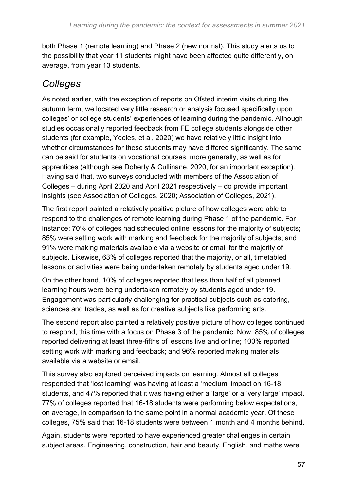both Phase 1 (remote learning) and Phase 2 (new normal). This study alerts us to the possibility that year 11 students might have been affected quite differently, on average, from year 13 students.

### *Colleges*

As noted earlier, with the exception of reports on Ofsted interim visits during the autumn term, we located very little research or analysis focused specifically upon colleges' or college students' experiences of learning during the pandemic. Although studies occasionally reported feedback from FE college students alongside other students (for example, Yeeles, et al, 2020) we have relatively little insight into whether circumstances for these students may have differed significantly. The same can be said for students on vocational courses, more generally, as well as for apprentices (although see Doherty & Cullinane, 2020, for an important exception). Having said that, two surveys conducted with members of the Association of Colleges – during April 2020 and April 2021 respectively – do provide important insights (see Association of Colleges, 2020; Association of Colleges, 2021).

The first report painted a relatively positive picture of how colleges were able to respond to the challenges of remote learning during Phase 1 of the pandemic. For instance: 70% of colleges had scheduled online lessons for the majority of subjects; 85% were setting work with marking and feedback for the majority of subjects; and 91% were making materials available via a website or email for the majority of subjects. Likewise, 63% of colleges reported that the majority, or all, timetabled lessons or activities were being undertaken remotely by students aged under 19.

On the other hand, 10% of colleges reported that less than half of all planned learning hours were being undertaken remotely by students aged under 19. Engagement was particularly challenging for practical subjects such as catering, sciences and trades, as well as for creative subjects like performing arts.

The second report also painted a relatively positive picture of how colleges continued to respond, this time with a focus on Phase 3 of the pandemic. Now: 85% of colleges reported delivering at least three-fifths of lessons live and online; 100% reported setting work with marking and feedback; and 96% reported making materials available via a website or email.

This survey also explored perceived impacts on learning. Almost all colleges responded that 'lost learning' was having at least a 'medium' impact on 16-18 students, and 47% reported that it was having either a 'large' or a 'very large' impact. 77% of colleges reported that 16-18 students were performing below expectations, on average, in comparison to the same point in a normal academic year. Of these colleges, 75% said that 16-18 students were between 1 month and 4 months behind.

Again, students were reported to have experienced greater challenges in certain subject areas. Engineering, construction, hair and beauty, English, and maths were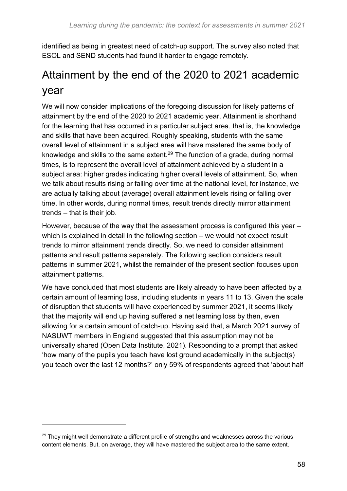identified as being in greatest need of catch-up support. The survey also noted that ESOL and SEND students had found it harder to engage remotely.

### <span id="page-57-0"></span>Attainment by the end of the 2020 to 2021 academic year

We will now consider implications of the foregoing discussion for likely patterns of attainment by the end of the 2020 to 2021 academic year. Attainment is shorthand for the learning that has occurred in a particular subject area, that is, the knowledge and skills that have been acquired. Roughly speaking, students with the same overall level of attainment in a subject area will have mastered the same body of knowledge and skills to the same extent.<sup>29</sup> The function of a grade, during normal times, is to represent the overall level of attainment achieved by a student in a subject area: higher grades indicating higher overall levels of attainment. So, when we talk about results rising or falling over time at the national level, for instance, we are actually talking about (average) overall attainment levels rising or falling over time. In other words, during normal times, result trends directly mirror attainment trends – that is their job.

However, because of the way that the assessment process is configured this year – which is explained in detail in the following section – we would not expect result trends to mirror attainment trends directly. So, we need to consider attainment patterns and result patterns separately. The following section considers result patterns in summer 2021, whilst the remainder of the present section focuses upon attainment patterns.

We have concluded that most students are likely already to have been affected by a certain amount of learning loss, including students in years 11 to 13. Given the scale of disruption that students will have experienced by summer 2021, it seems likely that the majority will end up having suffered a net learning loss by then, even allowing for a certain amount of catch-up. Having said that, a March 2021 survey of NASUWT members in England suggested that this assumption may not be universally shared (Open Data Institute, 2021). Responding to a prompt that asked 'how many of the pupils you teach have lost ground academically in the subject(s) you teach over the last 12 months?' only 59% of respondents agreed that 'about half

 $29$  They might well demonstrate a different profile of strengths and weaknesses across the various content elements. But, on average, they will have mastered the subject area to the same extent.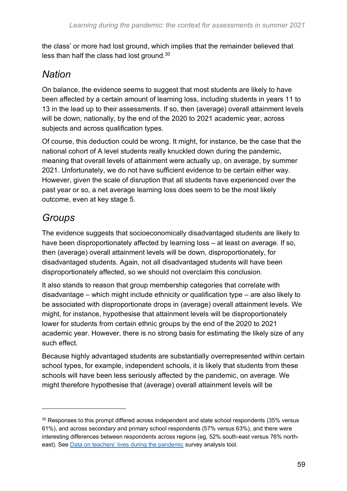the class' or more had lost ground, which implies that the remainder believed that less than half the class had lost ground.<sup>30</sup>

### *Nation*

On balance, the evidence seems to suggest that most students are likely to have been affected by a certain amount of learning loss, including students in years 11 to 13 in the lead up to their assessments. If so, then (average) overall attainment levels will be down, nationally, by the end of the 2020 to 2021 academic year, across subjects and across qualification types.

Of course, this deduction could be wrong. It might, for instance, be the case that the national cohort of A level students really knuckled down during the pandemic, meaning that overall levels of attainment were actually up, on average, by summer 2021. Unfortunately, we do not have sufficient evidence to be certain either way. However, given the scale of disruption that all students have experienced over the past year or so, a net average learning loss does seem to be the most likely outcome, even at key stage 5.

### *Groups*

The evidence suggests that socioeconomically disadvantaged students are likely to have been disproportionately affected by learning loss – at least on average. If so, then (average) overall attainment levels will be down, disproportionately, for disadvantaged students. Again, not all disadvantaged students will have been disproportionately affected, so we should not overclaim this conclusion.

It also stands to reason that group membership categories that correlate with disadvantage – which might include ethnicity or qualification type – are also likely to be associated with disproportionate drops in (average) overall attainment levels. We might, for instance, hypothesise that attainment levels will be disproportionately lower for students from certain ethnic groups by the end of the 2020 to 2021 academic year. However, there is no strong basis for estimating the likely size of any such effect.

Because highly advantaged students are substantially overrepresented within certain school types, for example, independent schools, it is likely that students from these schools will have been less seriously affected by the pandemic, on average. We might therefore hypothesise that (average) overall attainment levels will be

<sup>&</sup>lt;sup>30</sup> Responses to this prompt differed across independent and state school respondents (35% versus 61%), and across secondary and primary school respondents (57% versus 63%), and there were interesting differences between respondents across regions (eg, 52% south-east versus 76% northeast). See [Data on teachers' lives during the pandemic](https://theodi.org/article/data-on-teachers-lives-during-the-pandemic-report) survey analysis tool.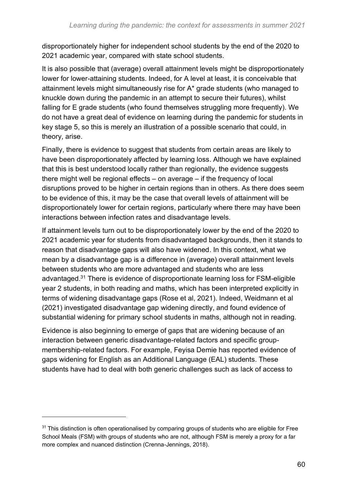disproportionately higher for independent school students by the end of the 2020 to 2021 academic year, compared with state school students.

It is also possible that (average) overall attainment levels might be disproportionately lower for lower-attaining students. Indeed, for A level at least, it is conceivable that attainment levels might simultaneously rise for A\* grade students (who managed to knuckle down during the pandemic in an attempt to secure their futures), whilst falling for E grade students (who found themselves struggling more frequently). We do not have a great deal of evidence on learning during the pandemic for students in key stage 5, so this is merely an illustration of a possible scenario that could, in theory, arise.

Finally, there is evidence to suggest that students from certain areas are likely to have been disproportionately affected by learning loss. Although we have explained that this is best understood locally rather than regionally, the evidence suggests there might well be regional effects – on average – if the frequency of local disruptions proved to be higher in certain regions than in others. As there does seem to be evidence of this, it may be the case that overall levels of attainment will be disproportionately lower for certain regions, particularly where there may have been interactions between infection rates and disadvantage levels.

If attainment levels turn out to be disproportionately lower by the end of the 2020 to 2021 academic year for students from disadvantaged backgrounds, then it stands to reason that disadvantage gaps will also have widened. In this context, what we mean by a disadvantage gap is a difference in (average) overall attainment levels between students who are more advantaged and students who are less advantaged.<sup>31</sup> There is evidence of disproportionate learning loss for FSM-eligible year 2 students, in both reading and maths, which has been interpreted explicitly in terms of widening disadvantage gaps (Rose et al, 2021). Indeed, Weidmann et al (2021) investigated disadvantage gap widening directly, and found evidence of substantial widening for primary school students in maths, although not in reading.

Evidence is also beginning to emerge of gaps that are widening because of an interaction between generic disadvantage-related factors and specific groupmembership-related factors. For example, Feyisa Demie has reported evidence of gaps widening for English as an Additional Language (EAL) students. These students have had to deal with both generic challenges such as lack of access to

<sup>&</sup>lt;sup>31</sup> This distinction is often operationalised by comparing groups of students who are eligible for Free School Meals (FSM) with groups of students who are not, although FSM is merely a proxy for a far more complex and nuanced distinction (Crenna-Jennings, 2018).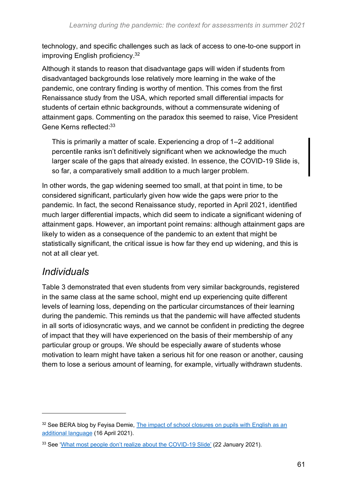technology, and specific challenges such as lack of access to one-to-one support in improving English proficiency.<sup>32</sup>

Although it stands to reason that disadvantage gaps will widen if students from disadvantaged backgrounds lose relatively more learning in the wake of the pandemic, one contrary finding is worthy of mention. This comes from the first Renaissance study from the USA, which reported small differential impacts for students of certain ethnic backgrounds, without a commensurate widening of attainment gaps. Commenting on the paradox this seemed to raise, Vice President Gene Kerns reflected:<sup>33</sup>

This is primarily a matter of scale. Experiencing a drop of 1–2 additional percentile ranks isn't definitively significant when we acknowledge the much larger scale of the gaps that already existed. In essence, the COVID-19 Slide is, so far, a comparatively small addition to a much larger problem.

In other words, the gap widening seemed too small, at that point in time, to be considered significant, particularly given how wide the gaps were prior to the pandemic. In fact, the second Renaissance study, reported in April 2021, identified much larger differential impacts, which did seem to indicate a significant widening of attainment gaps. However, an important point remains: although attainment gaps are likely to widen as a consequence of the pandemic to an extent that might be statistically significant, the critical issue is how far they end up widening, and this is not at all clear yet.

### *Individuals*

Table 3 demonstrated that even students from very similar backgrounds, registered in the same class at the same school, might end up experiencing quite different levels of learning loss, depending on the particular circumstances of their learning during the pandemic. This reminds us that the pandemic will have affected students in all sorts of idiosyncratic ways, and we cannot be confident in predicting the degree of impact that they will have experienced on the basis of their membership of any particular group or groups. We should be especially aware of students whose motivation to learn might have taken a serious hit for one reason or another, causing them to lose a serious amount of learning, for example, virtually withdrawn students.

<sup>&</sup>lt;sup>32</sup> See BERA blog by Feyisa Demie, The impact of school closures on pupils with English as an [additional language](https://www.bera.ac.uk/blog/the-impact-of-school-closures-on-pupils-with-english-as-an-additional-language) (16 April 2021).

<sup>&</sup>lt;sup>33</sup> See ['What most people don't realize about the COVID-19 Slide'](https://www.renaissance.com/2021/01/22/blog-what-most-people-dont-realize-about-the-covid-19-slide/) (22 January 2021).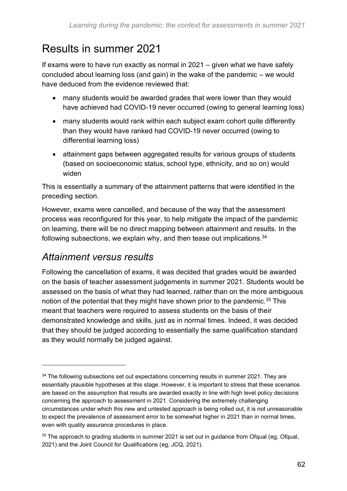### <span id="page-61-0"></span>Results in summer 2021

If exams were to have run exactly as normal in 2021 – given what we have safely concluded about learning loss (and gain) in the wake of the pandemic – we would have deduced from the evidence reviewed that:

- many students would be awarded grades that were lower than they would have achieved had COVID-19 never occurred (owing to general learning loss)
- many students would rank within each subject exam cohort quite differently than they would have ranked had COVID-19 never occurred (owing to differential learning loss)
- attainment gaps between aggregated results for various groups of students (based on socioeconomic status, school type, ethnicity, and so on) would widen

This is essentially a summary of the attainment patterns that were identified in the preceding section.

However, exams were cancelled, and because of the way that the assessment process was reconfigured for this year, to help mitigate the impact of the pandemic on learning, there will be no direct mapping between attainment and results. In the following subsections, we explain why, and then tease out implications.<sup>34</sup>

### *Attainment versus results*

Following the cancellation of exams, it was decided that grades would be awarded on the basis of teacher assessment judgements in summer 2021. Students would be assessed on the basis of what they had learned, rather than on the more ambiguous notion of the potential that they might have shown prior to the pandemic.<sup>35</sup> This meant that teachers were required to assess students on the basis of their demonstrated knowledge and skills, just as in normal times. Indeed, it was decided that they should be judged according to essentially the same qualification standard as they would normally be judged against.

<sup>&</sup>lt;sup>34</sup> The following subsections set out expectations concerning results in summer 2021. They are essentially plausible hypotheses at this stage. However, it is important to stress that these scenarios are based on the assumption that results are awarded exactly in line with high level policy decisions concerning the approach to assessment in 2021. Considering the extremely challenging circumstances under which this new and untested approach is being rolled out, it is not unreasonable to expect the prevalence of assessment error to be somewhat higher in 2021 than in normal times, even with quality assurance procedures in place.

 $35$  The approach to grading students in summer 2021 is set out in guidance from Ofqual (eg, Ofqual, 2021) and the Joint Council for Qualifications (eg, JCQ, 2021).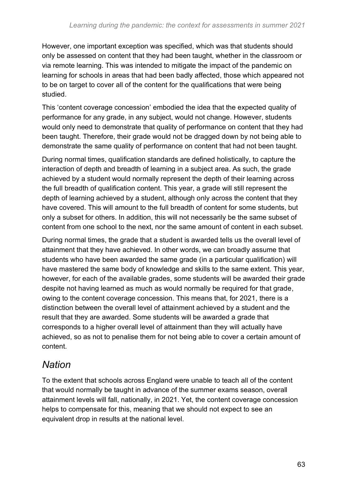However, one important exception was specified, which was that students should only be assessed on content that they had been taught, whether in the classroom or via remote learning. This was intended to mitigate the impact of the pandemic on learning for schools in areas that had been badly affected, those which appeared not to be on target to cover all of the content for the qualifications that were being studied.

This 'content coverage concession' embodied the idea that the expected quality of performance for any grade, in any subject, would not change. However, students would only need to demonstrate that quality of performance on content that they had been taught. Therefore, their grade would not be dragged down by not being able to demonstrate the same quality of performance on content that had not been taught.

During normal times, qualification standards are defined holistically, to capture the interaction of depth and breadth of learning in a subject area. As such, the grade achieved by a student would normally represent the depth of their learning across the full breadth of qualification content. This year, a grade will still represent the depth of learning achieved by a student, although only across the content that they have covered. This will amount to the full breadth of content for some students, but only a subset for others. In addition, this will not necessarily be the same subset of content from one school to the next, nor the same amount of content in each subset.

During normal times, the grade that a student is awarded tells us the overall level of attainment that they have achieved. In other words, we can broadly assume that students who have been awarded the same grade (in a particular qualification) will have mastered the same body of knowledge and skills to the same extent. This year, however, for each of the available grades, some students will be awarded their grade despite not having learned as much as would normally be required for that grade, owing to the content coverage concession. This means that, for 2021, there is a distinction between the overall level of attainment achieved by a student and the result that they are awarded. Some students will be awarded a grade that corresponds to a higher overall level of attainment than they will actually have achieved, so as not to penalise them for not being able to cover a certain amount of content.

### *Nation*

To the extent that schools across England were unable to teach all of the content that would normally be taught in advance of the summer exams season, overall attainment levels will fall, nationally, in 2021. Yet, the content coverage concession helps to compensate for this, meaning that we should not expect to see an equivalent drop in results at the national level.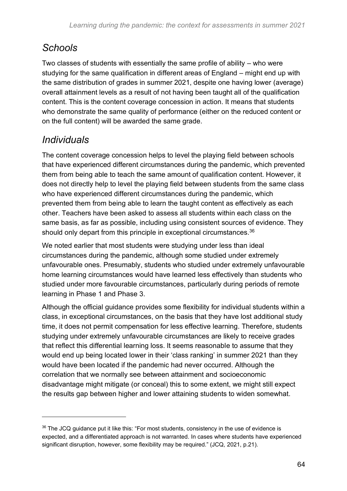### *Schools*

Two classes of students with essentially the same profile of ability – who were studying for the same qualification in different areas of England – might end up with the same distribution of grades in summer 2021, despite one having lower (average) overall attainment levels as a result of not having been taught all of the qualification content. This is the content coverage concession in action. It means that students who demonstrate the same quality of performance (either on the reduced content or on the full content) will be awarded the same grade.

### *Individuals*

The content coverage concession helps to level the playing field between schools that have experienced different circumstances during the pandemic, which prevented them from being able to teach the same amount of qualification content. However, it does not directly help to level the playing field between students from the same class who have experienced different circumstances during the pandemic, which prevented them from being able to learn the taught content as effectively as each other. Teachers have been asked to assess all students within each class on the same basis, as far as possible, including using consistent sources of evidence. They should only depart from this principle in exceptional circumstances.<sup>36</sup>

We noted earlier that most students were studying under less than ideal circumstances during the pandemic, although some studied under extremely unfavourable ones. Presumably, students who studied under extremely unfavourable home learning circumstances would have learned less effectively than students who studied under more favourable circumstances, particularly during periods of remote learning in Phase 1 and Phase 3.

Although the official guidance provides some flexibility for individual students within a class, in exceptional circumstances, on the basis that they have lost additional study time, it does not permit compensation for less effective learning. Therefore, students studying under extremely unfavourable circumstances are likely to receive grades that reflect this differential learning loss. It seems reasonable to assume that they would end up being located lower in their 'class ranking' in summer 2021 than they would have been located if the pandemic had never occurred. Although the correlation that we normally see between attainment and socioeconomic disadvantage might mitigate (or conceal) this to some extent, we might still expect the results gap between higher and lower attaining students to widen somewhat.

<sup>&</sup>lt;sup>36</sup> The JCQ guidance put it like this: "For most students, consistency in the use of evidence is expected, and a differentiated approach is not warranted. In cases where students have experienced significant disruption, however, some flexibility may be required." (JCQ, 2021, p.21).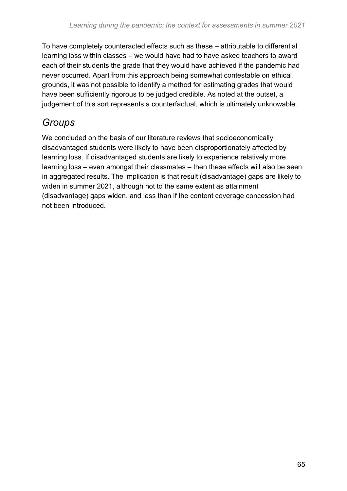To have completely counteracted effects such as these – attributable to differential learning loss within classes – we would have had to have asked teachers to award each of their students the grade that they would have achieved if the pandemic had never occurred. Apart from this approach being somewhat contestable on ethical grounds, it was not possible to identify a method for estimating grades that would have been sufficiently rigorous to be judged credible. As noted at the outset, a judgement of this sort represents a counterfactual, which is ultimately unknowable.

### *Groups*

We concluded on the basis of our literature reviews that socioeconomically disadvantaged students were likely to have been disproportionately affected by learning loss. If disadvantaged students are likely to experience relatively more learning loss – even amongst their classmates – then these effects will also be seen in aggregated results. The implication is that result (disadvantage) gaps are likely to widen in summer 2021, although not to the same extent as attainment (disadvantage) gaps widen, and less than if the content coverage concession had not been introduced.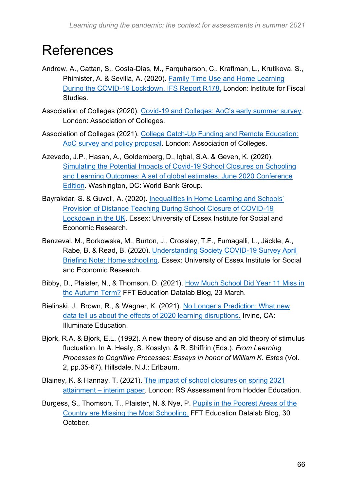## <span id="page-65-0"></span>References

- Andrew, A., Cattan, S., Costa-Dias, M., Farquharson, C., Kraftman, L., Krutikova, S., Phimister, A. & Sevilla, A. (2020). [Family Time Use and Home Learning](https://www.ifs.org.uk/publications/15038)  [During the COVID-19 Lockdown. IFS Report R178.](https://www.ifs.org.uk/publications/15038) London: lnstitute for Fiscal Studies.
- Association of Colleges (2020). [Covid-19 and Colleges: AoC's early summer survey.](https://www.aoc.co.uk/sites/default/files/AoC%20Covid19%20and%20colleges%20survey%204.5.20.pdf) London: Association of Colleges.
- Association of Colleges (2021). [College Catch-Up Funding and Remote Education:](https://www.aoc.co.uk/sites/default/files/Report%20-%20College%20Catch-up%20Funding%20and%20Remote%20Education%20-%20April%202021.pdf)  AoC [survey and policy proposal.](https://www.aoc.co.uk/sites/default/files/Report%20-%20College%20Catch-up%20Funding%20and%20Remote%20Education%20-%20April%202021.pdf) London: Association of Colleges.
- Azevedo, J.P., Hasan, A., Goldemberg, D., Iqbal, S.A. & Geven, K. (2020). [Simulating the Potential Impacts of Covid-19 School Closures on Schooling](https://www.worldbank.org/en/topic/education/publication/simulating-potential-impacts-of-covid-19-school-closures-learning-outcomes-a-set-of-global-estimates)  [and Learning Outcomes: A set of global estimates. June 2020 Conference](https://www.worldbank.org/en/topic/education/publication/simulating-potential-impacts-of-covid-19-school-closures-learning-outcomes-a-set-of-global-estimates)  [Edition.](https://www.worldbank.org/en/topic/education/publication/simulating-potential-impacts-of-covid-19-school-closures-learning-outcomes-a-set-of-global-estimates) Washington, DC: World Bank Group.
- Bayrakdar, S. & Guveli, A. (2020). [Inequalities in Home Learning and Schools'](https://www.iser.essex.ac.uk/research/publications/working-papers/iser/2020-09)  [Provision of Distance Teaching During School Closure of COVID-19](https://www.iser.essex.ac.uk/research/publications/working-papers/iser/2020-09)  [Lockdown in the UK.](https://www.iser.essex.ac.uk/research/publications/working-papers/iser/2020-09) Essex: University of Essex Institute for Social and Economic Research.
- Benzeval, M., Borkowska, M., Burton, J., Crossley, T.F., Fumagalli, L., Jäckle, A., Rabe, B. & Read, B. (2020). [Understanding Society COVID-19 Survey April](https://www.understandingsociety.ac.uk/sites/default/files/downloads/working-papers/2020-12.pdf)  [Briefing Note: Home schooling.](https://www.understandingsociety.ac.uk/sites/default/files/downloads/working-papers/2020-12.pdf) Essex: University of Essex Institute for Social and Economic Research.
- Bibby, D., Plaister, N., & Thomson, D. (2021). [How Much School Did Year 11 Miss in](https://ffteducationdatalab.org.uk/2021/03/how-much-school-did-year-11-miss-in-the-autumn-term/)  [the Autumn Term?](https://ffteducationdatalab.org.uk/2021/03/how-much-school-did-year-11-miss-in-the-autumn-term/) FFT Education Datalab Blog, 23 March.
- Bielinski, J., Brown, R., & Wagner, K. (2021). [No Longer a Prediction: What new](https://www.illuminateed.com/download/no-longer-a-prediction-what-new-data-tell-us-about-the-effects-of-2020-learning-disruptions/)  [data tell us about the effects of 2020 learning disruptions.](https://www.illuminateed.com/download/no-longer-a-prediction-what-new-data-tell-us-about-the-effects-of-2020-learning-disruptions/) Irvine, CA: Illuminate Education.
- Bjork, R.A. & Bjork, E.L. (1992). A new theory of disuse and an old theory of stimulus fluctuation. In A. Healy, S. Kosslyn, & R. Shiffrin (Eds.). *From Learning Processes to Cognitive Processes: Essays in honor of William K. Estes* (Vol. 2, pp.35-67). Hillsdale, N.J.: Erlbaum.
- Blainey, K. & Hannay, T. (2021). [The impact of school closures on spring 2021](https://www.risingstars-uk.com/rs-assessment/whitepapers)  attainment – [interim paper.](https://www.risingstars-uk.com/rs-assessment/whitepapers) London: RS Assessment from Hodder Education.
- Burgess, S., Thomson, T., Plaister, N. & Nye, P. [Pupils in the Poorest Areas of the](https://ffteducationdatalab.org.uk/2020/10/pupils-in-the-poorest-areas-of-the-country-are-missing-the-most-schooling/)  [Country are Missing the Most Schooling.](https://ffteducationdatalab.org.uk/2020/10/pupils-in-the-poorest-areas-of-the-country-are-missing-the-most-schooling/) FFT Education Datalab Blog, 30 October.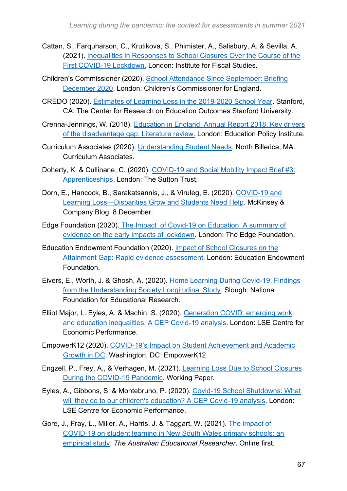- Cattan, S., Farquharson, C., Krutikova, S., Phimister, A., Salisbury, A. & Sevilla, A. (2021). [Inequalities in Responses to School Closures Over the Course of the](https://www.ifs.org.uk/publications/15302)  [First COVID-19 Lockdown.](https://www.ifs.org.uk/publications/15302) London: Institute for Fiscal Studies.
- Children's Commissioner (2020). [School Attendance Since September: Briefing](https://www.childrenscommissioner.gov.uk/wp-content/uploads/2020/12/cco-briefing-on-school-attendance-since-september.pdf)  [December 2020.](https://www.childrenscommissioner.gov.uk/wp-content/uploads/2020/12/cco-briefing-on-school-attendance-since-september.pdf) London: Children's Commissioner for England.
- CREDO (2020). [Estimates of Learning Loss in the 2019-2020 School Year.](https://credo.stanford.edu/publications/estimates-learning-loss-2019-2020-school-year) Stanford, CA: The Center for Research on Education Outcomes Stanford University.
- Crenna-Jennings, W. (2018). [Education in England: Annual Report 2018. Key drivers](https://epi.org.uk/wp-content/uploads/2018/07/EPI-Annual-Report-2018-Lit-review.pdf)  [of the disadvantage gap: Literature review.](https://epi.org.uk/wp-content/uploads/2018/07/EPI-Annual-Report-2018-Lit-review.pdf) London: Education Policy Institute.
- Curriculum Associates (2020). Understanding [Student Needs.](https://www.curriculumassociates.com/-/media/mainsite/files/i-ready/iready-diagnostic-results-understanding-student-needs-paper-2020.pdf) North Billerica, MA: Curriculum Associates.
- Doherty, K. & Cullinane, C. (2020). [COVID-19 and Social Mobility Impact Brief #3:](https://www.suttontrust.com/wp-content/uploads/2020/05/Covid-19-Impacts-Apprenticeships.pdf)  [Apprenticeships.](https://www.suttontrust.com/wp-content/uploads/2020/05/Covid-19-Impacts-Apprenticeships.pdf) London: The Sutton Trust.
- Dorn, E., Hancock, B., Sarakatsannis, J., & Viruleg, E. (2020). [COVID-19 and](https://www.mckinsey.com/industries/public-and-social-sector/our-insights/covid-19-and-learning-loss-disparities-grow-and-students-need-help)  [Learning Loss—Disparities Grow and Students Need Help.](https://www.mckinsey.com/industries/public-and-social-sector/our-insights/covid-19-and-learning-loss-disparities-grow-and-students-need-help) McKinsey & Company Blog, 8 December.
- Edge Foundation (2020). [The Impact of Covid-19 on Education A summary of](https://www.edge.co.uk/news-and-events/news/impact-covid-19-education/)  [evidence on the early impacts of lockdown.](https://www.edge.co.uk/news-and-events/news/impact-covid-19-education/) London: The Edge Foundation.
- Education Endowment Foundation (2020). [Impact of School Closures on the](https://educationendowmentfoundation.org.uk/covid-19-resources/best-evidence-on-impact-of-school-closures-on-the-attainment-gap/)  [Attainment Gap: Rapid evidence assessment.](https://educationendowmentfoundation.org.uk/covid-19-resources/best-evidence-on-impact-of-school-closures-on-the-attainment-gap/) London: Education Endowment Foundation.
- Eivers, E., Worth, J. & Ghosh, A. (2020). [Home Learning During Covid-19: Findings](https://www.nfer.ac.uk/home-learning-during-covid-19-findings-from-the-understanding-society-longitudinal-study/)  [from the Understanding Society Longitudinal Study.](https://www.nfer.ac.uk/home-learning-during-covid-19-findings-from-the-understanding-society-longitudinal-study/) Slough: National Foundation for Educational Research.
- Elliot Major, L. Eyles, A. & Machin, S. (2020). [Generation COVID: emerging work](http://cep.lse.ac.uk/_new/publications/abstract.asp?index=7462)  [and education inequalities. A CEP Covid-19 analysis.](http://cep.lse.ac.uk/_new/publications/abstract.asp?index=7462) London: LSE Centre for Economic Performance.
- EmpowerK12 (2020). [COVID-19's Impact on Student Achievement and Academic](https://www.empowerk12.org/research-source/covid-impact-achievement-dc)  [Growth in DC.](https://www.empowerk12.org/research-source/covid-impact-achievement-dc) Washington, DC: EmpowerK12.
- Engzell, P., Frey, A., & Verhagen, M. (2021). [Learning Loss Due to School Closures](https://osf.io/preprints/socarxiv/ve4z7/)  [During the COVID-19 Pandemic.](https://osf.io/preprints/socarxiv/ve4z7/) Working Paper.
- Eyles, A., Gibbons, S. & Montebruno, P. (2020). [Covid-19 School Shutdowns: What](https://cep.lse.ac.uk/pubs/download/cepcovid-19-001.pdf)  [will they do to our children's education? A CEP Covid-19 analysis.](https://cep.lse.ac.uk/pubs/download/cepcovid-19-001.pdf) London: LSE Centre for Economic Performance.
- Gore, J., Fray, L., Miller, A., Harris, J. & Taggart, W. (2021). [The impact of](https://link.springer.com/article/10.1007/s13384-021-00436-w)  COVID‑[19 on student learning in New South Wales primary schools: an](https://link.springer.com/article/10.1007/s13384-021-00436-w)  [empirical study.](https://link.springer.com/article/10.1007/s13384-021-00436-w) *The Australian Educational Researcher*. Online first.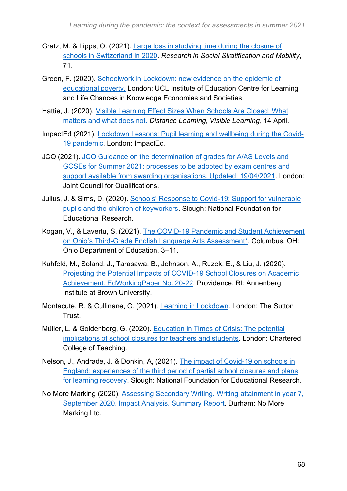- Gratz, M. & Lipps, O. (2021). [Large loss in studying time during the closure of](https://www.sciencedirect.com/science/article/pii/S0276562420300901?via%3Dihub)  [schools in Switzerland in 2020.](https://www.sciencedirect.com/science/article/pii/S0276562420300901?via%3Dihub) *Research in Social Stratification and Mobility*, 71.
- Green, F. (2020). [Schoolwork in Lockdown: new evidence on the epidemic of](https://www.llakes.ac.uk/sites/default/files/LLAKES%20Working%20Paper%2067_0.pdf)  [educational poverty.](https://www.llakes.ac.uk/sites/default/files/LLAKES%20Working%20Paper%2067_0.pdf) London: UCL Institute of Education Centre for Learning and Life Chances in Knowledge Economies and Societies.
- Hattie, J. (2020). [Visible Learning Effect Sizes When Schools Are Closed: What](https://corwin-connect.com/2020/04/visible-learning-effect-sizes-when-schools-are-closed-what-matters-and-what-does-not/)  [matters and what does not.](https://corwin-connect.com/2020/04/visible-learning-effect-sizes-when-schools-are-closed-what-matters-and-what-does-not/) *Distance Learning, Visible Learning*, 14 April.
- ImpactEd (2021). [Lockdown Lessons: Pupil learning and wellbeing during the Covid-](https://impacted.org.uk/covid-19)[19 pandemic.](https://impacted.org.uk/covid-19) London: ImpactEd.
- JCQ (2021). [JCQ Guidance on the determination of grades for A/AS Levels and](https://www.jcq.org.uk/supporting-teachers-schools-and-colleges-in-determining-gcse-and-a-level-grades-this-summer/)  [GCSEs for Summer 2021: processes to be adopted by exam centres and](https://www.jcq.org.uk/supporting-teachers-schools-and-colleges-in-determining-gcse-and-a-level-grades-this-summer/)  [support available from awarding organisations. Updated: 19/04/2021.](https://www.jcq.org.uk/supporting-teachers-schools-and-colleges-in-determining-gcse-and-a-level-grades-this-summer/) London: Joint Council for Qualifications.
- Julius, J. & Sims, D. (2020). [Schools' Response to Covid-19: Support for vulnerable](https://www.nfer.ac.uk/schools-responses-to-covid-19-support-for-vulnerable-pupils-and-the-children-of-keyworkers/)  [pupils and the children of keyworkers.](https://www.nfer.ac.uk/schools-responses-to-covid-19-support-for-vulnerable-pupils-and-the-children-of-keyworkers/) Slough: National Foundation for Educational Research.
- Kogan, V., & Lavertu, S. (2021). [The COVID-19 Pandemic and Student Achievement](http://glenn.osu.edu/educational-governance/reports/reports-attributes/ODE_ThirdGradeELA_KL_1-27-2021.pdf)  [on Ohio's Third-Grade English Language Arts Assessment\\*.](http://glenn.osu.edu/educational-governance/reports/reports-attributes/ODE_ThirdGradeELA_KL_1-27-2021.pdf) Columbus, OH: Ohio Department of Education, 3–11.
- Kuhfeld, M., Soland, J., Tarasawa, B., Johnson, A., Ruzek, E., & Liu, J. (2020). Projecting the Potential Impacts [of COVID-19 School Closures on Academic](https://www.edworkingpapers.com/sites/default/files/ai20-226-v2.pdf)  [Achievement. EdWorkingPaper No. 20-22.](https://www.edworkingpapers.com/sites/default/files/ai20-226-v2.pdf) Providence, RI: Annenberg Institute at Brown University.
- Montacute, R. & Cullinane, C. (2021). [Learning in Lockdown.](https://www.suttontrust.com/our-research/learning-in-lockdown/) London: The Sutton Trust.
- Müller, L. & Goldenberg, G. (2020). [Education in Times of Crisis: The potential](https://my.chartered.college/wp-content/uploads/2020/05/CCTReport070520_FINAL.pdf)  [implications of school closures for teachers and students.](https://my.chartered.college/wp-content/uploads/2020/05/CCTReport070520_FINAL.pdf) London: Chartered College of Teaching.
- Nelson, J., Andrade, J. & Donkin, A, (2021). [The impact of Covid-19 on schools in](https://www.nfer.ac.uk/media/4435/the_impact_of_covid_19_on_schools_in_england.pdf)  [England: experiences of the third period of partial school closures and plans](https://www.nfer.ac.uk/media/4435/the_impact_of_covid_19_on_schools_in_england.pdf)  [for learning recovery.](https://www.nfer.ac.uk/media/4435/the_impact_of_covid_19_on_schools_in_england.pdf) Slough: National Foundation for Educational Research.
- No More Marking (2020). [Assessing Secondary Writing. Writing attainment in year 7,](https://nmm-v2.s3-eu-west-1.amazonaws.com/reports/334-NMM-Impact+Analysis-ART.pdf)  [September 2020. Impact Analysis. Summary Report.](https://nmm-v2.s3-eu-west-1.amazonaws.com/reports/334-NMM-Impact+Analysis-ART.pdf) Durham: No More Marking Ltd.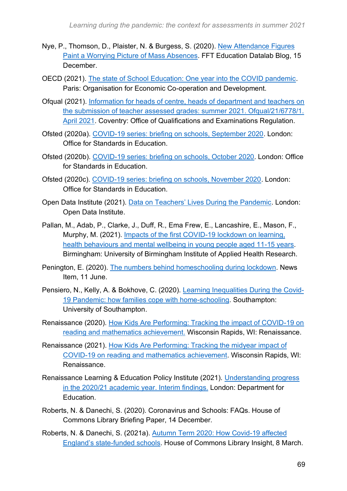- Nye, P., Thomson, D., Plaister, N. & Burgess, S. (2020). [New Attendance Figures](https://ffteducationdatalab.org.uk/2020/12/new-attendance-figures-paint-a-worrying-picture-of-mass-absences/)  [Paint a Worrying Picture of Mass Absences.](https://ffteducationdatalab.org.uk/2020/12/new-attendance-figures-paint-a-worrying-picture-of-mass-absences/) FFT Education Datalab Blog, 15 December.
- OECD (2021). [The state of School Education: One year into the COVID pandemic.](https://www.oecd-ilibrary.org/education/the-state-of-school-education_201dde84-en;jsessionid=6IC_Cb3K2eNuR_gCtpglFGZ8.ip-10-240-5-165) Paris: Organisation for Economic Co-operation and Development.
- Ofqual (2021). [Information for heads of centre, heads of department and teachers on](https://www.gov.uk/government/publications/submission-of-teacher-assessed-grades-summer-2021-info-for-teachers)  the submission of teacher [assessed grades: summer 2021. Ofqual/21/6778/1.](https://www.gov.uk/government/publications/submission-of-teacher-assessed-grades-summer-2021-info-for-teachers)  [April 2021.](https://www.gov.uk/government/publications/submission-of-teacher-assessed-grades-summer-2021-info-for-teachers) Coventry: Office of Qualifications and Examinations Regulation.
- Ofsted (2020a). [COVID-19 series: briefing on schools, September 2020.](https://www.gov.uk/government/publications/covid-19-series-briefing-on-schools-september-2020) London: Office for Standards in Education.
- Ofsted (2020b). [COVID-19 series: briefing on schools, October 2020.](https://www.gov.uk/government/publications/covid-19-series-briefing-on-schools-october-2020) London: Office for Standards in Education.
- Ofsted (2020c). [COVID-19 series: briefing on schools, November 2020.](https://www.gov.uk/government/publications/covid-19-series-briefing-on-schools-november-2020) London: Office for Standards in Education.
- Open Data Institute (2021). [Data on Teachers' Lives During the Pandemic.](https://theodi.org/article/new-report-data-on-teachers-lives-during-the-pandemic/) London: Open Data Institute.
- Pallan, M., Adab, P., Clarke, J., Duff, R., Ema Frew, E., Lancashire, E., Mason, F., Murphy, M. (2021). [Impacts of the first COVID-19 lockdown on learning,](https://www.birmingham.ac.uk/documents/college-mds/applied-health/contrast-study/contrast-report-06-04-2021-accessible.pdf)  [health behaviours and mental wellbeing in young people aged 11-15 years.](https://www.birmingham.ac.uk/documents/college-mds/applied-health/contrast-study/contrast-report-06-04-2021-accessible.pdf) Birmingham: University of Birmingham Institute of Applied Health Research.
- Penington, E. (2020). [The numbers behind homeschooling during lockdown.](https://www.childrenscommissioner.gov.uk/2020/06/11/the-numbers-behind-homeschooling-during-lockdown/) News Item, 11 June.
- Pensiero, N., Kelly, A. & Bokhove, C. (2020). [Learning Inequalities During the Covid-](https://www.southampton.ac.uk/publicpolicy/covid19/learning-inequalities-covid-19.page)[19 Pandemic: how families cope with home-schooling.](https://www.southampton.ac.uk/publicpolicy/covid19/learning-inequalities-covid-19.page) Southampton: University of Southampton.
- Renaissance (2020). [How Kids Are Performing: Tracking the impact of COVID-19 on](https://www.renaissance.com/2020/10/14/blog-how-are-kids-performing-so-far-this-fall/)  [reading and mathematics achievement.](https://www.renaissance.com/2020/10/14/blog-how-are-kids-performing-so-far-this-fall/) Wisconsin Rapids, WI: Renaissance.
- Renaissance (2021). [How Kids Are Performing: Tracking the midyear impact of](https://www.renaissance.com/how-kids-are-performing/)  [COVID-19 on reading and mathematics achievement.](https://www.renaissance.com/how-kids-are-performing/) Wisconsin Rapids, WI: Renaissance.
- Renaissance Learning & Education Policy Institute (2021). [Understanding progress](https://www.gov.uk/government/publications/pupils-progress-in-the-2020-to-2021-academic-year-interim-report)  [in the 2020/21 academic year. Interim findings.](https://www.gov.uk/government/publications/pupils-progress-in-the-2020-to-2021-academic-year-interim-report) London: Department for Education.
- Roberts, N. & Danechi, S. (2020). Coronavirus and Schools: FAQs. House of Commons Library Briefing Paper, 14 December.
- Roberts, N. & Danechi, S. (2021a). [Autumn Term 2020: How Covid-19 affected](https://commonslibrary.parliament.uk/autumn-term-2020-how-covid-19-affected-englands-state-funded-schools/)  [England's state-funded schools.](https://commonslibrary.parliament.uk/autumn-term-2020-how-covid-19-affected-englands-state-funded-schools/) House of Commons Library Insight, 8 March.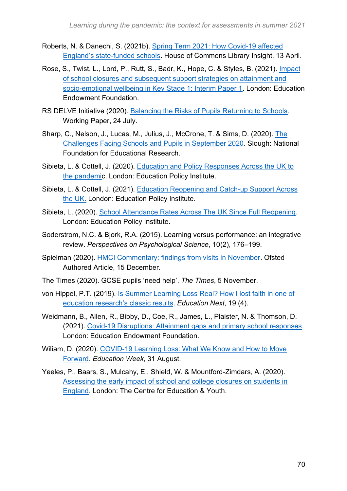- Roberts, N. & Danechi, S. (2021b). [Spring Term 2021: How Covid-19 affected](https://commonslibrary.parliament.uk/spring-term-2021-how-covid-19-affected-englands-state-funded-schools/)  [England's state-funded schools.](https://commonslibrary.parliament.uk/spring-term-2021-how-covid-19-affected-englands-state-funded-schools/) House of Commons Library Insight, 13 April.
- Rose, S., Twist, L., Lord, P., Rutt, S., Badr, K., Hope, C. & Styles, B. (2021). [Impact](https://educationendowmentfoundation.org.uk/projects-and-evaluation/projects/nfer-impact-of-school-closures-and-subsequent-support-strategies-on-attainm/)  [of school closures and subsequent support strategies on attainment and](https://educationendowmentfoundation.org.uk/projects-and-evaluation/projects/nfer-impact-of-school-closures-and-subsequent-support-strategies-on-attainm/)  [socio-emotional wellbeing in Key Stage 1: Interim Paper 1.](https://educationendowmentfoundation.org.uk/projects-and-evaluation/projects/nfer-impact-of-school-closures-and-subsequent-support-strategies-on-attainm/) London: Education Endowment Foundation.
- RS DELVE Initiative (2020). [Balancing the Risks of Pupils Returning to Schools.](https://rs-delve.github.io/reports/2020/07/24/balancing-the-risk-of-pupils-returning-to-schools.html) Working Paper, 24 July.
- Sharp, C., Nelson, J., Lucas, M., Julius, J., McCrone, T. & Sims, D. (2020). [The](https://www.nfer.ac.uk/schools-responses-to-covid-19-the-challenges-facing-schools-and-pupils-in-september-2020/)  [Challenges Facing Schools and Pupils in September 2020.](https://www.nfer.ac.uk/schools-responses-to-covid-19-the-challenges-facing-schools-and-pupils-in-september-2020/) Slough: National Foundation for Educational Research.
- Sibieta, L. & Cottell, J. (2020). [Education and Policy Responses Across the UK to](https://epi.org.uk/publications-and-research/education-responses-uk-pandemic/)  [the pandemic](https://epi.org.uk/publications-and-research/education-responses-uk-pandemic/). London: Education Policy Institute.
- Sibieta, L. & Cottell, J. (2021). [Education Reopening and Catch-up Support Across](https://epi.org.uk/publications-and-research/reopening-catch-up-support-uk/)  [the UK.](https://epi.org.uk/publications-and-research/reopening-catch-up-support-uk/) London: Education Policy Institute.
- Sibieta, L. (2020). [School Attendance Rates Across The UK Since Full Reopening.](https://epi.org.uk/publications-and-research/school-attendance-rates-across-the-uk-since-full-reopening-november/) London: Education Policy Institute.
- Soderstrom, N.C. & Bjork, R.A. (2015). Learning versus performance: an integrative review. *Perspectives on Psychological Science*, 10(2), 176–199.
- Spielman (2020). [HMCI Commentary: findings from visits in November.](https://www.gov.uk/government/speeches/hmci-commentary-findings-from-visits-in-november) Ofsted Authored Article, 15 December.
- The Times (2020). GCSE pupils 'need help'. *The Times*, 5 November.
- von Hippel, P.T. (2019). [Is Summer Learning Loss Real? How I lost faith in one of](https://www.educationnext.org/is-summer-learning-loss-real-how-i-lost-faith-education-research-results/)  [education research's classic results.](https://www.educationnext.org/is-summer-learning-loss-real-how-i-lost-faith-education-research-results/) *Education Next*, 19 (4).
- Weidmann, B., Allen, R., Bibby, D., Coe, R., James, L., Plaister, N. & Thomson, D. (2021). [Covid-19 Disruptions: Attainment gaps and primary school responses.](https://educationendowmentfoundation.org.uk/projects-and-evaluation/projects/covid-19-disruptions-in-primary-schools-attainment-gaps-and-school-response/?utm_source=site&utm_medium=search&utm_campaign=site_search&search_term=impact%20of%20covid) London: Education Endowment Foundation.
- Wiliam, D. (2020). [COVID-19 Learning Loss: What We Know and How to Move](https://www.edweek.org/education/opinion-covid-19-learning-loss-what-we-know-and-how-to-move-forward/2020/08)  [Forward.](https://www.edweek.org/education/opinion-covid-19-learning-loss-what-we-know-and-how-to-move-forward/2020/08) *Education Week*, 31 August.
- Yeeles, P., Baars, S., Mulcahy, E., Shield, W. & Mountford-Zimdars, A. (2020). [Assessing the early impact of school and college closures on students in](https://cfey.org/reports/2020/06/assessing-the-early-impact-of-school-and-college-closures-on-students-in-england/)  [England.](https://cfey.org/reports/2020/06/assessing-the-early-impact-of-school-and-college-closures-on-students-in-england/) London: The Centre for Education & Youth.